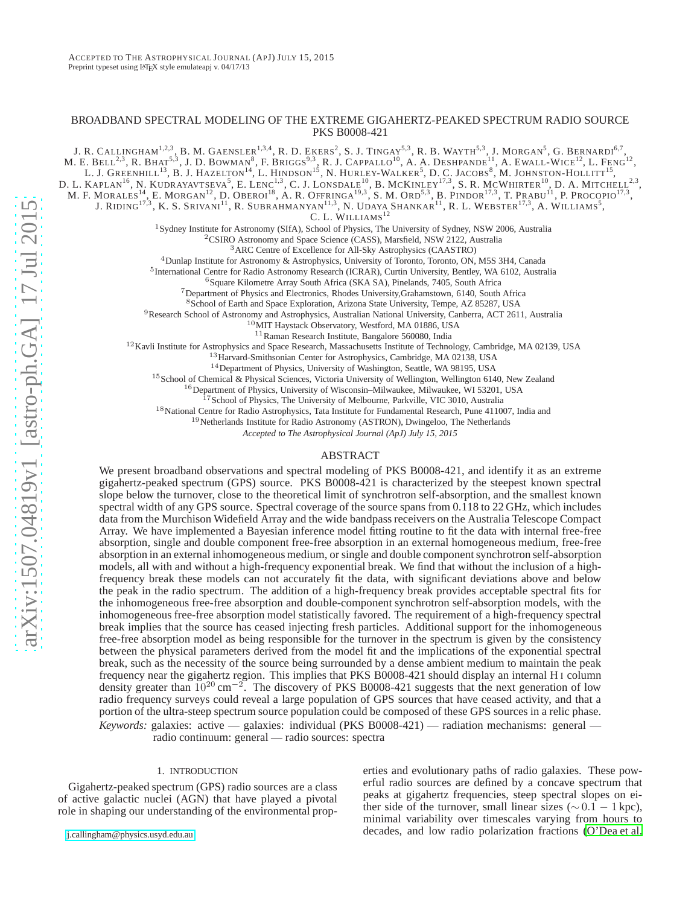# BROADBAND SPECTRAL MODELING OF THE EXTREME GIGAHERTZ-PEAKED SPECTRUM RADIO SOURCE PKS B0008-421

J. R. CALLINGHAM<sup>1,2,3</sup>, B. M. GAENSLER<sup>1,3,4</sup>, R. D. EKERS<sup>2</sup>, S. J. TINGAY<sup>5,3</sup>, R. B. WAYTH<sup>5,3</sup>, J. MORGAN<sup>5</sup>, G. BERNARDI<sup>6,7</sup>,

M. E. BELL<sup>2,3</sup>, R. BHAT<sup>5,3</sup>, J. D. BOWMAN<sup>8</sup>, F. Briggs<sup>9,3</sup>, R. J. Cappallo<sup>10</sup>, A. A. Deshpande<sup>11</sup>, A. Ewall-Wice<sup>12</sup>, L. Feng<sup>12</sup>,

L. J. GREENHILL<sup>13</sup>, B. J. HAZELTON<sup>14</sup>, L. HINDSON<sup>15</sup>, N. HURLEY-WALKER<sup>5</sup>, D. C. JACOBS<sup>8</sup>, M. JOHNSTON-HOLLITT<sup>15</sup>,

D. L. KAPLAN<sup>16</sup>, N. KUDRAYAVTSEVA<sup>5</sup>, E. LENC<sup>1,3</sup>, C. J. LONSDALE<sup>10</sup>, B. MCKINLEY<sup>17,3</sup>, S. R. MCWHIRTER<sup>10</sup>, D. A. MITCHELL<sup>2,3</sup>,

M. F. MORALES<sup>14</sup>, E. MORGAN<sup>12</sup>, D. Oberoi<sup>18</sup>, A. R. Offringa<sup>19,3</sup>, S. M. Ord<sup>5,3</sup>, B. Pindor<sup>17,3</sup>, T. Prabu<sup>11</sup>, P. Procopio<sup>17,3</sup>,

J. RIDING<sup>17,3</sup>, K. S. Srivani<sup>11</sup>, R. Subrahmanyan<sup>11,3</sup>, N. Udaya Shankar<sup>11</sup>, R. L. Webster<sup>17,3</sup>, A. Williams<sup>5</sup>,

C. L. WILLIAMS<sup>1</sup>

<sup>1</sup>Sydney Institute for Astronomy (SIfA), School of Physics, The University of Sydney, NSW 2006, Australia

<sup>2</sup>CSIRO Astronomy and Space Science (CASS), Marsfield, NSW 2122, Australia

<sup>3</sup>ARC Centre of Excellence for All-Sky Astrophysics (CAASTRO)

<sup>4</sup>Dunlap Institute for Astronomy & Astrophysics, University of Toronto, Toronto, ON, M5S 3H4, Canada

<sup>5</sup>International Centre for Radio Astronomy Research (ICRAR), Curtin University, Bentley, WA 6102, Australia

<sup>6</sup>Square Kilometre Array South Africa (SKA SA), Pinelands, 7405, South Africa

<sup>7</sup>Department of Physics and Electronics, Rhodes University,Grahamstown, 6140, South Africa

<sup>8</sup>School of Earth and Space Exploration, Arizona State University, Tempe, AZ 85287, USA

<sup>9</sup>Research School of Astronomy and Astrophysics, Australian National University, Canberra, ACT 2611, Australia

<sup>10</sup>MIT Haystack Observatory, Westford, MA 01886, USA

<sup>11</sup>Raman Research Institute, Bangalore 560080, India

 $12$ Kavli Institute for Astrophysics and Space Research, Massachusetts Institute of Technology, Cambridge, MA 02139, USA

<sup>13</sup> Harvard-Smithsonian Center for Astrophysics, Cambridge, MA 02138, USA

<sup>14</sup>Department of Physics, University of Washington, Seattle, WA 98195, USA

<sup>15</sup> School of Chemical & Physical Sciences, Victoria University of Wellington, Wellington 6140, New Zealand

<sup>16</sup>Department of Physics, University of Wisconsin–Milwaukee, Milwaukee, WI 53201, USA

<sup>17</sup>School of Physics, The University of Melbourne, Parkville, VIC 3010, Australia

<sup>18</sup>National Centre for Radio Astrophysics, Tata Institute for Fundamental Research, Pune 411007, India and

<sup>19</sup>Netherlands Institute for Radio Astronomy (ASTRON), Dwingeloo, The Netherlands

*Accepted to The Astrophysical Journal (ApJ) July 15, 2015*

## ABSTRACT

We present broadband observations and spectral modeling of PKS B0008-421, and identify it as an extreme gigahertz-peaked spectrum (GPS) source. PKS B0008-421 is characterized by the steepest known spectral slope below the turnover, close to the theoretical limit of synchrotron self-absorption, and the smallest known spectral width of any GPS source. Spectral coverage of the source spans from 0.118 to 22 GHz, which includes data from the Murchison Widefield Array and the wide bandpass receivers on the Australia Telescope Compact Array. We have implemented a Bayesian inference model fitting routine to fit the data with internal free-free absorption, single and double component free-free absorption in an external homogeneous medium, free-free absorption in an external inhomogeneous medium, or single and double component synchrotron self-absorption models, all with and without a high-frequency exponential break. We find that without the inclusion of a highfrequency break these models can not accurately fit the data, with significant deviations above and below the peak in the radio spectrum. The addition of a high-frequency break provides acceptable spectral fits for the inhomogeneous free-free absorption and double-component synchrotron self-absorption models, with the inhomogeneous free-free absorption model statistically favored. The requirement of a high-frequency spectral break implies that the source has ceased injecting fresh particles. Additional support for the inhomogeneous free-free absorption model as being responsible for the turnover in the spectrum is given by the consistency between the physical parameters derived from the model fit and the implications of the exponential spectral break, such as the necessity of the source being surrounded by a dense ambient medium to maintain the peak frequency near the gigahertz region. This implies that PKS B0008-421 should display an internal H I column density greater than 10<sup>20</sup> cm<sup>−2</sup>. The discovery of PKS B0008-421 suggests that the next generation of low radio frequency surveys could reveal a large population of GPS sources that have ceased activity, and that a portion of the ultra-steep spectrum source population could be composed of these GPS sources in a relic phase. *Keywords:* galaxies: active — galaxies: individual (PKS B0008-421) — radiation mechanisms: general radio continuum: general — radio sources: spectra

### 1. INTRODUCTION

Gigahertz-peaked spectrum (GPS) radio sources are a class of active galactic nuclei (AGN) that have played a pivotal role in shaping our understanding of the environmental properties and evolutionary paths of radio galaxies. These powerful radio sources are defined by a concave spectrum that peaks at gigahertz frequencies, steep spectral slopes on either side of the turnover, small linear sizes ( $\sim 0.1 - 1$  kpc), minimal variability over timescales varying from hours to decades, and low radio polarization fractions [\(O'Dea et al.](#page-13-0)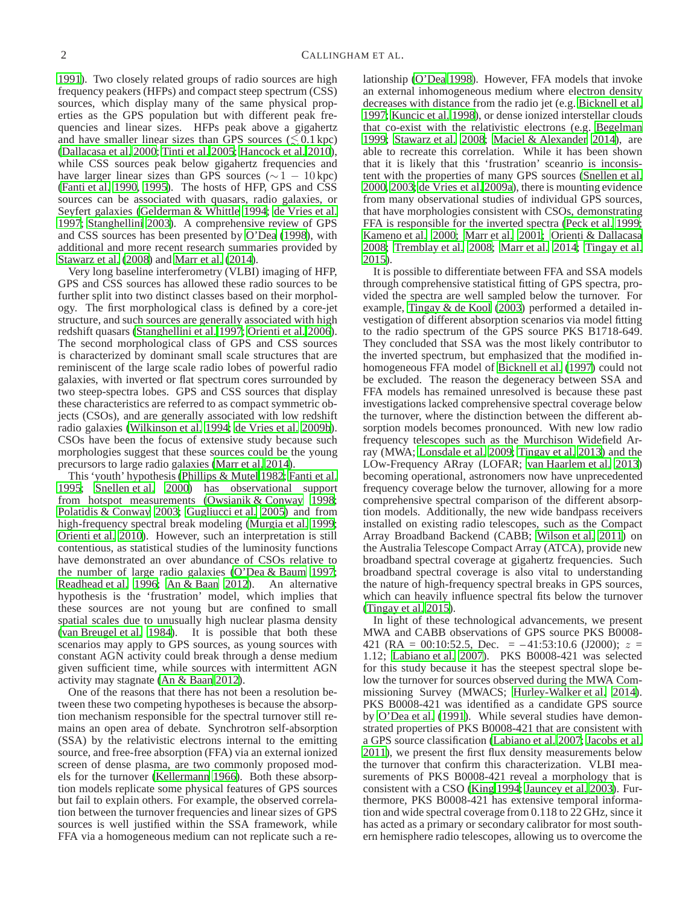[1991\)](#page-13-0). Two closely related groups of radio sources are high frequency peakers (HFPs) and compact steep spectrum (CSS) sources, which display many of the same physical properties as the GPS population but with different peak frequencies and linear sizes. HFPs peak above a gigahertz and have smaller linear sizes than GPS sources ( $\leq 0.1$  kpc) [\(Dallacasa et al. 2000;](#page-12-0) [Tinti et al. 2005;](#page-13-1) [Hancock et al. 2010\)](#page-13-2), while CSS sources peak below gigahertz frequencies and have larger linear sizes than GPS sources ( $\sim$  1 – 10 kpc) [\(Fanti et al. 1990,](#page-13-3) [1995](#page-13-4)). The hosts of HFP, GPS and CSS sources can be associated with quasars, radio galaxies, or Seyfert galaxies [\(Gelderman & Whittle 1994;](#page-13-5) [de Vries et al.](#page-12-1) [1997;](#page-12-1) [Stanghellini 2003\)](#page-13-6). A comprehensive review of GPS and CSS sources has been presented by [O'Dea \(1998](#page-13-7)), with additional and more recent research summaries provided by [Stawarz et al. \(2008](#page-13-8)) and [Marr et al.](#page-13-9) [\(2014\)](#page-13-9).

Very long baseline interferometry (VLBI) imaging of HFP, GPS and CSS sources has allowed these radio sources to be further split into two distinct classes based on their morphology. The first morphological class is defined by a core-jet structure, and such sources are generally associated with high redshift quasars [\(Stanghellini et al. 1997;](#page-13-10) [Orienti et al. 2006\)](#page-13-11). The second morphological class of GPS and CSS sources is characterized by dominant small scale structures that are reminiscent of the large scale radio lobes of powerful radio galaxies, with inverted or flat spectrum cores surrounded by two steep-spectra lobes. GPS and CSS sources that display these characteristics are referred to as compact symmetric objects (CSOs), and are generally associated with low redshift radio galaxies [\(Wilkinson et al. 1994;](#page-13-12) [de Vries et al. 2009b\)](#page-12-2). CSOs have been the focus of extensive study because such morphologies suggest that these sources could be the young precursors to large radio galaxies [\(Marr et al. 2014\)](#page-13-9).

This 'youth' hypothesis [\(Phillips & Mutel 1982](#page-13-13); [Fanti et al.](#page-13-4) [1995;](#page-13-4) [Snellen et al. 2000](#page-13-14)) has observational support from hotspot measurements [\(Owsianik & Conway 1998;](#page-13-15) [Polatidis & Conway 2003](#page-13-16); [Gugliucci et al. 2005\)](#page-13-17) and from high-frequency spectral break modeling [\(Murgia et al. 1999;](#page-13-18) [Orienti et al. 2010\)](#page-13-19). However, such an interpretation is still contentious, as statistical studies of the luminosity functions have demonstrated an over abundance of CSOs relative to the number of large radio galaxies [\(O'Dea & Baum 1997;](#page-13-20) [Readhead et al. 1996;](#page-13-21) [An & Baan 2012\)](#page-12-3). An alternative hypothesis is the 'frustration' model, which implies that these sources are not young but are confined to small spatial scales due to unusually high nuclear plasma density [\(van Breugel et al. 1984\)](#page-13-22). It is possible that both these scenarios may apply to GPS sources, as young sources with constant AGN activity could break through a dense medium given sufficient time, while sources with intermittent AGN activity may stagnate [\(An & Baan 2012\)](#page-12-3).

One of the reasons that there has not been a resolution between these two competing hypotheses is because the absorption mechanism responsible for the spectral turnover still remains an open area of debate. Synchrotron self-absorption (SSA) by the relativistic electrons internal to the emitting source, and free-free absorption (FFA) via an external ionized screen of dense plasma, are two commonly proposed models for the turnover [\(Kellermann 1966\)](#page-13-23). Both these absorption models replicate some physical features of GPS sources but fail to explain others. For example, the observed correlation between the turnover frequencies and linear sizes of GPS sources is well justified within the SSA framework, while FFA via a homogeneous medium can not replicate such a relationship [\(O'Dea 1998\)](#page-13-7). However, FFA models that invoke an external inhomogeneous medium where electron density decreases with distance from the radio jet (e.g. [Bicknell et](#page-12-4) al. [1997;](#page-12-4) [Kuncic et al. 1998\)](#page-13-24), or dense ionized interstellar clouds that co-exist with the relativistic electrons (e.g. [Begelman](#page-12-5) [1999;](#page-12-5) [Stawarz et al. 2008;](#page-13-8) [Maciel & Alexander 2014\)](#page-13-25), are able to recreate this correlation. While it has been shown that it is likely that this 'frustration' sceanrio is inconsistent with the properties of many GPS sources [\(Snellen et al.](#page-13-14) [2000,](#page-13-14) [2003;](#page-13-26) [de Vries et al. 2009a\)](#page-12-6), there is mounting evidence from many observational studies of individual GPS sources, that have morphologies consistent with CSOs, demonstrating FFA is responsible for the inverted spectra [\(Peck et al. 1999](#page-13-27); [Kameno et al. 2000;](#page-13-28) [Marr et al. 2001](#page-13-29); [Orienti & Dallacasa](#page-13-30) [2008;](#page-13-30) [Tremblay et al. 2008;](#page-13-31) [Marr et al. 2014;](#page-13-9) [Tingay et al.](#page-13-32) [2015\)](#page-13-32).

It is possible to differentiate between FFA and SSA models through comprehensive statistical fitting of GPS spectra, provided the spectra are well sampled below the turnover. For example, [Tingay & de Kool \(2003](#page-13-33)) performed a detailed investigation of different absorption scenarios via model fitting to the radio spectrum of the GPS source PKS B1718-649. They concluded that SSA was the most likely contributor to the inverted spectrum, but emphasized that the modified inhomogeneous FFA model of [Bicknell et al.](#page-12-4) [\(1997\)](#page-12-4) could not be excluded. The reason the degeneracy between SSA and FFA models has remained unresolved is because these past investigations lacked comprehensive spectral coverage below the turnover, where the distinction between the different absorption models becomes pronounced. With new low radio frequency telescopes such as the Murchison Widefield Array (MWA; [Lonsdale et al. 2009;](#page-13-34) [Tingay et al. 2013](#page-13-35)) and the LOw-Frequency ARray (LOFAR; [van Haarlem et al. 2013\)](#page-13-36) becoming operational, astronomers now have unprecedented frequency coverage below the turnover, allowing for a more comprehensive spectral comparison of the different absorption models. Additionally, the new wide bandpass receivers installed on existing radio telescopes, such as the Compact Array Broadband Backend (CABB; [Wilson et al. 2011\)](#page-13-37) on the Australia Telescope Compact Array (ATCA), provide new broadband spectral coverage at gigahertz frequencies. Such broadband spectral coverage is also vital to understanding the nature of high-frequency spectral breaks in GPS sources, which can heavily influence spectral fits below the turnover [\(Tingay et al. 2015](#page-13-32)).

In light of these technological advancements, we present MWA and CABB observations of GPS source PKS B0008- 421 (RA = 00:10:52.5, Dec. =  $-41:53:10.6$  (J2000);  $z =$ 1.12; [Labiano et al. 2007\)](#page-13-38). PKS B0008-421 was selected for this study because it has the steepest spectral slope below the turnover for sources observed during the MWA Commissioning Survey (MWACS; [Hurley-Walker et al. 2014](#page-13-39)). PKS B0008-421 was identified as a candidate GPS source by [O'Dea et al.](#page-13-0) [\(1991\)](#page-13-0). While several studies have demonstrated properties of PKS B0008-421 that are consistent with a GPS source classification [\(Labiano et al. 2007;](#page-13-38) [Jacobs et al.](#page-13-40) [2011\)](#page-13-40), we present the first flux density measurements below the turnover that confirm this characterization. VLBI measurements of PKS B0008-421 reveal a morphology that is consistent with a CSO [\(King 1994;](#page-13-41) [Jauncey et al. 2003](#page-13-42)). Furthermore, PKS B0008-421 has extensive temporal information and wide spectral coverage from 0.118 to 22 GHz, since it has acted as a primary or secondary calibrator for most southern hemisphere radio telescopes, allowing us to overcome the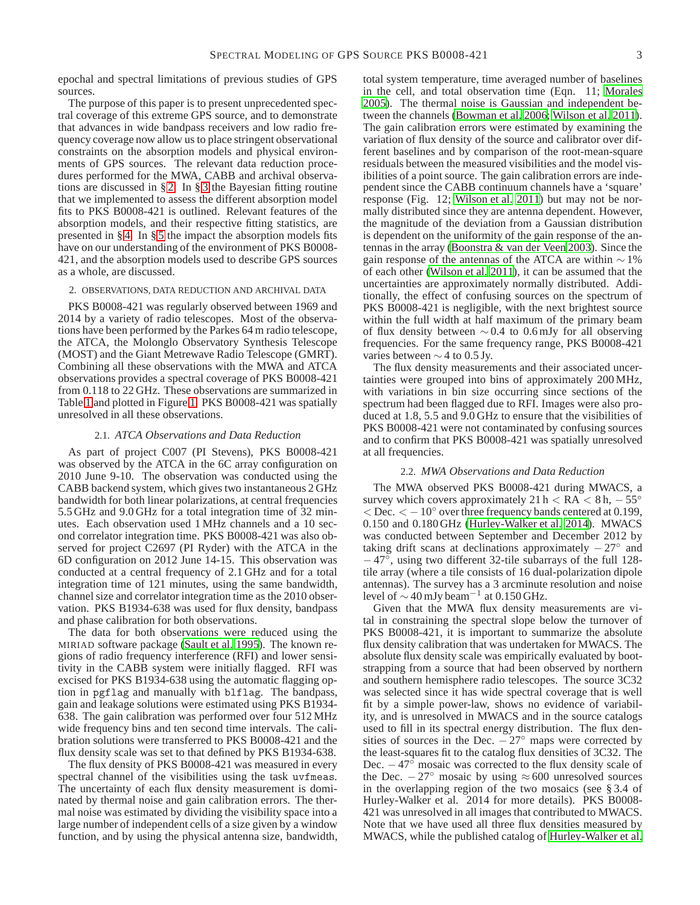epochal and spectral limitations of previous studies of GPS sources.

The purpose of this paper is to present unprecedented spectral coverage of this extreme GPS source, and to demonstrate that advances in wide bandpass receivers and low radio frequency coverage now allow us to place stringent observational constraints on the absorption models and physical environments of GPS sources. The relevant data reduction procedures performed for the MWA, CABB and archival observations are discussed in § [2.](#page-2-0) In § [3](#page-4-0) the Bayesian fitting routine that we implemented to assess the different absorption model fits to PKS B0008-421 is outlined. Relevant features of the absorption models, and their respective fitting statistics, are presented in § [4.](#page-6-0) In § [5](#page-10-0) the impact the absorption models fits have on our understanding of the environment of PKS B0008- 421, and the absorption models used to describe GPS sources as a whole, are discussed.

### <span id="page-2-0"></span>2. OBSERVATIONS, DATA REDUCTION AND ARCHIVAL DATA

PKS B0008-421 was regularly observed between 1969 and 2014 by a variety of radio telescopes. Most of the observations have been performed by the Parkes 64 m radio telescope, the ATCA, the Molonglo Observatory Synthesis Telescope (MOST) and the Giant Metrewave Radio Telescope (GMRT). Combining all these observations with the MWA and ATCA observations provides a spectral coverage of PKS B0008-421 from 0.118 to 22 GHz. These observations are summarized in Table [1](#page-3-0) and plotted in Figure [1.](#page-5-0) PKS B0008-421 was spatially unresolved in all these observations.

### 2.1. *ATCA Observations and Data Reduction*

As part of project C007 (PI Stevens), PKS B0008-421 was observed by the ATCA in the 6C array configuration on 2010 June 9-10. The observation was conducted using the CABB backend system, which gives two instantaneous 2 GHz bandwidth for both linear polarizations, at central frequencies 5.5 GHz and 9.0 GHz for a total integration time of 32 minutes. Each observation used 1 MHz channels and a 10 second correlator integration time. PKS B0008-421 was also observed for project C2697 (PI Ryder) with the ATCA in the 6D configuration on 2012 June 14-15. This observation was conducted at a central frequency of 2.1 GHz and for a total integration time of 121 minutes, using the same bandwidth, channel size and correlator integration time as the 2010 observation. PKS B1934-638 was used for flux density, bandpass and phase calibration for both observations.

The data for both observations were reduced using the MIRIAD software package [\(Sault et al. 1995\)](#page-13-43). The known regions of radio frequency interference (RFI) and lower sensitivity in the CABB system were initially flagged. RFI was excised for PKS B1934-638 using the automatic flagging option in pgflag and manually with blflag. The bandpass, gain and leakage solutions were estimated using PKS B1934- 638. The gain calibration was performed over four 512 MHz wide frequency bins and ten second time intervals. The calibration solutions were transferred to PKS B0008-421 and the flux density scale was set to that defined by PKS B1934-638.

The flux density of PKS B0008-421 was measured in every spectral channel of the visibilities using the task uvfmeas. The uncertainty of each flux density measurement is dominated by thermal noise and gain calibration errors. The thermal noise was estimated by dividing the visibility space into a large number of independent cells of a size given by a window function, and by using the physical antenna size, bandwidth,

total system temperature, time averaged number of baselines in the cell, and total observation time (Eqn. 11; [Morales](#page-13-44) [2005\)](#page-13-44). The thermal noise is Gaussian and independent between the channels [\(Bowman et al. 2006;](#page-12-7) [Wilson et al. 2011](#page-13-37)). The gain calibration errors were estimated by examining the variation of flux density of the source and calibrator over different baselines and by comparison of the root-mean-square residuals between the measured visibilities and the model visibilities of a point source. The gain calibration errors are independent since the CABB continuum channels have a 'square' response (Fig. 12; [Wilson et al. 2011](#page-13-37)) but may not be normally distributed since they are antenna dependent. However, the magnitude of the deviation from a Gaussian distribution is dependent on the uniformity of the gain response of the antennas in the array [\(Boonstra & van der Veen 2003\)](#page-12-8). Since the gain response of the antennas of the ATCA are within  $\sim$  1% of each other [\(Wilson et al. 2011](#page-13-37)), it can be assumed that the uncertainties are approximately normally distributed. Additionally, the effect of confusing sources on the spectrum of PKS B0008-421 is negligible, with the next brightest source within the full width at half maximum of the primary beam of flux density between  $\sim 0.4$  to 0.6 mJy for all observing frequencies. For the same frequency range, PKS B0008-421 varies between  $\sim$  4 to 0.5 Jy.

The flux density measurements and their associated uncertainties were grouped into bins of approximately 200 MHz, with variations in bin size occurring since sections of the spectrum had been flagged due to RFI. Images were also produced at 1.8, 5.5 and 9.0 GHz to ensure that the visibilities of PKS B0008-421 were not contaminated by confusing sources and to confirm that PKS B0008-421 was spatially unresolved at all frequencies.

# 2.2. *MWA Observations and Data Reduction*

The MWA observed PKS B0008-421 during MWACS, a survey which covers approximately 21 h  $<$  RA  $<$  8 h,  $-55^\circ$  $<$  Dec.  $<$   $-10^{\circ}$  over three frequency bands centered at 0.199, 0.150 and 0.180 GHz [\(Hurley-Walker et al. 2014\)](#page-13-39). MWACS was conducted between September and December 2012 by taking drift scans at declinations approximately  $-27^\circ$  and − 47◦ , using two different 32-tile subarrays of the full 128 tile array (where a tile consists of 16 dual-polarization dipole antennas). The survey has a 3 arcminute resolution and noise level of  $\sim$  40 mJy beam<sup>-1</sup> at 0.150 GHz.

Given that the MWA flux density measurements are vital in constraining the spectral slope below the turnover of PKS B0008-421, it is important to summarize the absolute flux density calibration that was undertaken for MWACS. The absolute flux density scale was empirically evaluated by bootstrapping from a source that had been observed by northern and southern hemisphere radio telescopes. The source 3C32 was selected since it has wide spectral coverage that is well fit by a simple power-law, shows no evidence of variability, and is unresolved in MWACS and in the source catalogs used to fill in its spectral energy distribution. The flux densities of sources in the Dec.  $-27^\circ$  maps were corrected by the least-squares fit to the catalog flux densities of 3C32. The Dec.  $-47^{\circ}$  mosaic was corrected to the flux density scale of the Dec.  $-27^\circ$  mosaic by using  $\approx 600$  unresolved sources in the overlapping region of the two mosaics (see § 3.4 of Hurley-Walker et al. 2014 for more details). PKS B0008- 421 was unresolved in all images that contributed to MWACS. Note that we have used all three flux densities measured by MWACS, while the published catalog of [Hurley-Walker et al.](#page-13-39)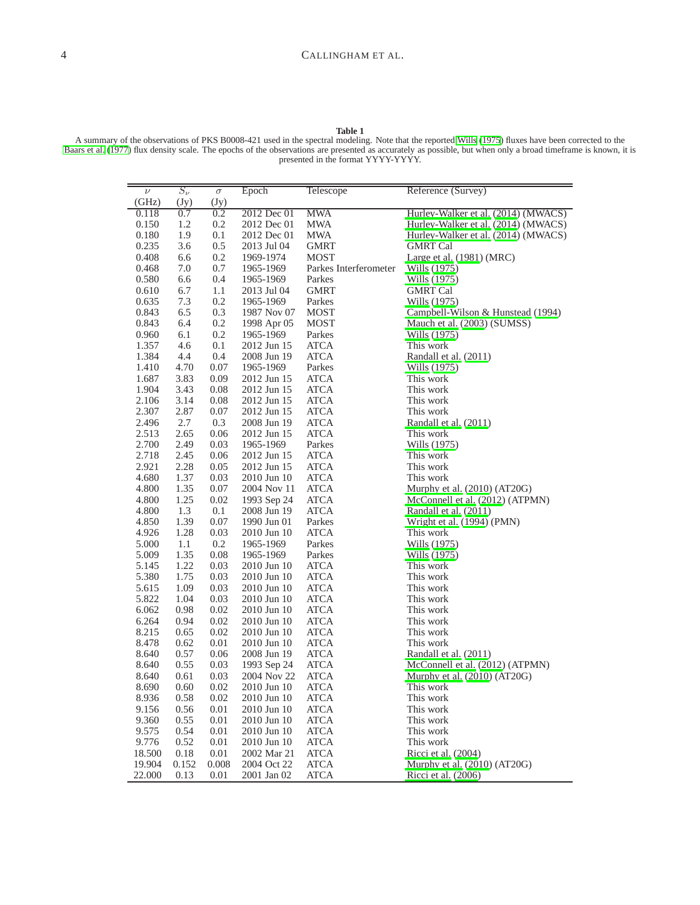**Table 1**

<span id="page-3-0"></span>A summary of the observations of PKS B0008-421 used in the spectral modeling. Note that the reported [Wills \(1975\)](#page-13-45) fluxes have been corrected to the [Baars et al. \(1977](#page-12-9)) flux density scale. The epochs of the observations are presented as accurately as possible, but when only a broad timeframe is known, it is presented in the format YYYY-YYYY.

| $\nu$<br>(GHz) | $S_{\nu}$   | $\sigma$<br>(Jy) | Epoch       | Telescope             | Reference (Survey)                                                         |
|----------------|-------------|------------------|-------------|-----------------------|----------------------------------------------------------------------------|
| 0.118          | (Jy)<br>0.7 | 0.2              | 2012 Dec 01 | <b>MWA</b>            |                                                                            |
| 0.150          | 1.2         | 0.2              | 2012 Dec 01 | <b>MWA</b>            | Hurley-Walker et al. (2014) (MWACS)<br>Hurley-Walker et al. (2014) (MWACS) |
| 0.180          | 1.9         | 0.1              | 2012 Dec 01 | MWA                   | Hurley-Walker et al. (2014) (MWACS)                                        |
| 0.235          | 3.6         | 0.5              | 2013 Jul 04 | <b>GMRT</b>           | <b>GMRT Cal</b>                                                            |
| 0.408          | 6.6         | 0.2              | 1969-1974   | MOST                  | Large et al. $(1981)$ (MRC)                                                |
| 0.468          | 7.0         | 0.7              | 1965-1969   | Parkes Interferometer | Wills (1975)                                                               |
| 0.580          | 6.6         | 0.4              | 1965-1969   | Parkes                | Wills (1975)                                                               |
| 0.610          | 6.7         | 1.1              | 2013 Jul 04 | <b>GMRT</b>           | <b>GMRT Cal</b>                                                            |
| 0.635          | 7.3         | 0.2              | 1965-1969   | Parkes                | Wills (1975)                                                               |
| 0.843          | 6.5         | 0.3              | 1987 Nov 07 | <b>MOST</b>           | Campbell-Wilson & Hunstead (1994)                                          |
| 0.843          | 6.4         | 0.2              | 1998 Apr 05 | <b>MOST</b>           | Mauch et al. (2003) (SUMSS)                                                |
| 0.960          | 6.1         | 0.2              | 1965-1969   | Parkes                | Wills (1975)                                                               |
| 1.357          | 4.6         | 0.1              | 2012 Jun 15 | <b>ATCA</b>           | This work                                                                  |
| 1.384          | 4.4         | 0.4              | 2008 Jun 19 | <b>ATCA</b>           | Randall et al. (2011)                                                      |
| 1.410          | 4.70        | 0.07             | 1965-1969   | Parkes                | Wills (1975)                                                               |
| 1.687          | 3.83        | 0.09             | 2012 Jun 15 | <b>ATCA</b>           | This work                                                                  |
| 1.904          | 3.43        | 0.08             | 2012 Jun 15 | <b>ATCA</b>           | This work                                                                  |
| 2.106          | 3.14        | 0.08             | 2012 Jun 15 | <b>ATCA</b>           | This work                                                                  |
| 2.307          | 2.87        | 0.07             | 2012 Jun 15 | <b>ATCA</b>           | This work                                                                  |
| 2.496          | 2.7         | 0.3              | 2008 Jun 19 | <b>ATCA</b>           | Randall et al. (2011)                                                      |
| 2.513          | 2.65        | 0.06             | 2012 Jun 15 | <b>ATCA</b>           | This work                                                                  |
| 2.700          | 2.49        | 0.03             | 1965-1969   | Parkes                | Wills (1975)                                                               |
| 2.718          | 2.45        | 0.06             | 2012 Jun 15 | <b>ATCA</b>           | This work                                                                  |
| 2.921          | 2.28        | 0.05             | 2012 Jun 15 | <b>ATCA</b>           | This work                                                                  |
| 4.680          | 1.37        | 0.03             | 2010 Jun 10 | <b>ATCA</b>           | This work                                                                  |
| 4.800          | 1.35        | 0.07             | 2004 Nov 11 | <b>ATCA</b>           | Murphy et al. $(2010)$ $(AT20G)$                                           |
| 4.800          | 1.25        | 0.02             | 1993 Sep 24 | <b>ATCA</b>           | McConnell et al. (2012) (ATPMN)                                            |
| 4.800          | 1.3         | 0.1              | 2008 Jun 19 | <b>ATCA</b>           | Randall et al. (2011)                                                      |
| 4.850          | 1.39        | 0.07             | 1990 Jun 01 | Parkes                | Wright et al. (1994) (PMN)                                                 |
| 4.926          | 1.28        | 0.03             | 2010 Jun 10 | <b>ATCA</b>           | This work                                                                  |
| 5.000          | 1.1         | 0.2              | 1965-1969   | Parkes                | Wills (1975)                                                               |
| 5.009          | 1.35        | 0.08             | 1965-1969   | Parkes                | Wills (1975)                                                               |
| 5.145          | 1.22        | 0.03             | 2010 Jun 10 | <b>ATCA</b>           | This work                                                                  |
| 5.380          | 1.75        | 0.03             | 2010 Jun 10 | <b>ATCA</b>           | This work                                                                  |
| 5.615          | 1.09        | 0.03             | 2010 Jun 10 | <b>ATCA</b>           | This work                                                                  |
| 5.822          | 1.04        | 0.03             | 2010 Jun 10 | <b>ATCA</b>           | This work                                                                  |
| 6.062          | 0.98        | 0.02             | 2010 Jun 10 | <b>ATCA</b>           | This work                                                                  |
| 6.264          | 0.94        | 0.02             | 2010 Jun 10 | <b>ATCA</b>           | This work                                                                  |
| 8.215          | 0.65        | 0.02             | 2010 Jun 10 | <b>ATCA</b>           | This work                                                                  |
| 8.478          | 0.62        | 0.01             | 2010 Jun 10 | <b>ATCA</b>           | This work                                                                  |
| 8.640          | 0.57        | 0.06             | 2008 Jun 19 | <b>ATCA</b>           | Randall et al. (2011)                                                      |
| 8.640          | 0.55        | 0.03             | 1993 Sep 24 | <b>ATCA</b>           | McConnell et al. (2012) (ATPMN)                                            |
| 8.640          | 0.61        | 0.03             | 2004 Nov 22 | <b>ATCA</b>           | Murphy et al. $(2010)$ $(AT20G)$                                           |
| 8.690          | 0.60        | 0.02             | 2010 Jun 10 | <b>ATCA</b>           | This work                                                                  |
| 8.936          | 0.58        | 0.02             | 2010 Jun 10 | <b>ATCA</b>           | This work                                                                  |
| 9.156          | 0.56        | 0.01             | 2010 Jun 10 | <b>ATCA</b>           | This work                                                                  |
| 9.360          | 0.55        | 0.01             | 2010 Jun 10 | <b>ATCA</b>           | This work                                                                  |
| 9.575          | 0.54        | 0.01             | 2010 Jun 10 | <b>ATCA</b>           | This work                                                                  |
| 9.776          | 0.52        | 0.01             | 2010 Jun 10 | ATCA                  | This work                                                                  |
| 18.500         | 0.18        | 0.01             | 2002 Mar 21 | <b>ATCA</b>           | Ricci et al. (2004)                                                        |
| 19.904         | 0.152       | 0.008            | 2004 Oct 22 | <b>ATCA</b>           | Murphy et al. (2010) (AT20G)                                               |
| 22.000         | 0.13        | 0.01             | 2001 Jan 02 | <b>ATCA</b>           | Ricci et al. (2006)                                                        |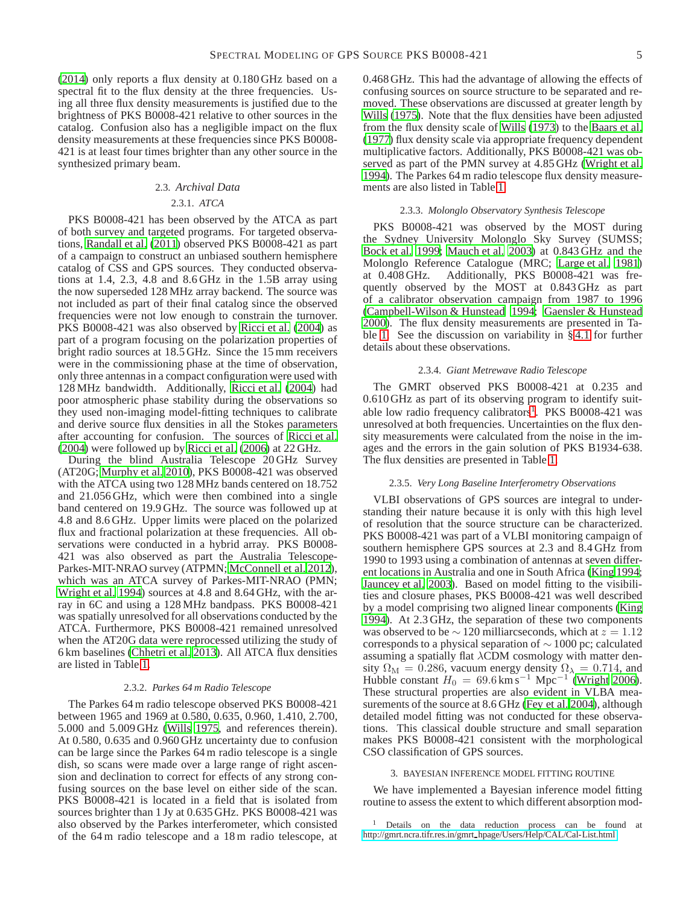[\(2014](#page-13-39)) only reports a flux density at 0.180 GHz based on a spectral fit to the flux density at the three frequencies. Using all three flux density measurements is justified due to the brightness of PKS B0008-421 relative to other sources in the catalog. Confusion also has a negligible impact on the flux density measurements at these frequencies since PKS B0008- 421 is at least four times brighter than any other source in the synthesized primary beam.

# 2.3. *Archival Data* 2.3.1. *ATCA*

PKS B0008-421 has been observed by the ATCA as part of both survey and targeted programs. For targeted observations, [Randall et al.](#page-13-48) [\(2011\)](#page-13-48) observed PKS B0008-421 as part of a campaign to construct an unbiased southern hemisphere catalog of CSS and GPS sources. They conducted observations at 1.4, 2.3, 4.8 and 8.6 GHz in the 1.5B array using the now superseded 128 MHz array backend. The source was not included as part of their final catalog since the observed frequencies were not low enough to constrain the turnover. PKS B0008-421 was also observed by [Ricci et al. \(2004](#page-13-52)) as part of a program focusing on the polarization properties of bright radio sources at 18.5 GHz. Since the 15 mm receivers were in the commissioning phase at the time of observation, only three antennas in a compact configuration were used with 128 MHz bandwidth. Additionally, [Ricci et al. \(2004\)](#page-13-52) had poor atmospheric phase stability during the observations so they used non-imaging model-fitting techniques to calibrate and derive source flux densities in all the Stokes parameters after accounting for confusion. The sources of [Ricci et al.](#page-13-52) [\(2004](#page-13-52)) were followed up by [Ricci et al. \(2006\)](#page-13-53) at 22 GHz.

During the blind Australia Telescope 20 GHz Survey (AT20G; [Murphy et al. 2010](#page-13-49)), PKS B0008-421 was observed with the ATCA using two 128 MHz bands centered on 18.752 and 21.056 GHz, which were then combined into a single band centered on 19.9 GHz. The source was followed up at 4.8 and 8.6 GHz. Upper limits were placed on the polarized flux and fractional polarization at these frequencies. All observations were conducted in a hybrid array. PKS B0008- 421 was also observed as part the Australia Telescope-Parkes-MIT-NRAO survey (ATPMN; [McConnell et al. 2012\)](#page-13-50), which was an ATCA survey of Parkes-MIT-NRAO (PMN; [Wright et al. 1994\)](#page-13-51) sources at 4.8 and 8.64 GHz, with the array in 6C and using a 128 MHz bandpass. PKS B0008-421 was spatially unresolved for all observations conducted by the ATCA. Furthermore, PKS B0008-421 remained unresolved when the AT20G data were reprocessed utilizing the study of 6 km baselines [\(Chhetri et al. 2013](#page-12-11)). All ATCA flux densities are listed in Table [1.](#page-3-0)

### 2.3.2. *Parkes 64 m Radio Telescope*

The Parkes 64 m radio telescope observed PKS B0008-421 between 1965 and 1969 at 0.580, 0.635, 0.960, 1.410, 2.700, 5.000 and 5.009 GHz [\(Wills 1975](#page-13-45), and references therein). At 0.580, 0.635 and 0.960 GHz uncertainty due to confusion can be large since the Parkes 64 m radio telescope is a single dish, so scans were made over a large range of right ascension and declination to correct for effects of any strong confusing sources on the base level on either side of the scan. PKS B0008-421 is located in a field that is isolated from sources brighter than 1 Jy at 0.635 GHz. PKS B0008-421 was also observed by the Parkes interferometer, which consisted of the 64 m radio telescope and a 18 m radio telescope, at 0.468 GHz. This had the advantage of allowing the effects of confusing sources on source structure to be separated and removed. These observations are discussed at greater length by [Wills \(1975\)](#page-13-45). Note that the flux densities have been adjusted from the flux density scale of [Wills](#page-13-54) [\(1973\)](#page-13-54) to the [Baars et al.](#page-12-9) [\(1977\)](#page-12-9) flux density scale via appropriate frequency dependent multiplicative factors. Additionally, PKS B0008-421 was observed as part of the PMN survey at 4.85 GHz [\(Wright et al.](#page-13-51) [1994\)](#page-13-51). The Parkes 64 m radio telescope flux density measurements are also listed in Table [1.](#page-3-0)

#### 2.3.3. *Molonglo Observatory Synthesis Telescope*

PKS B0008-421 was observed by the MOST during the Sydney University Molonglo Sky Survey (SUMSS; [Bock et al. 1999;](#page-12-12) [Mauch et al. 2003](#page-13-47)) at 0.843 GHz and the Molonglo Reference Catalogue (MRC; [Large et al. 1981\)](#page-13-46) Additionally, PKS B0008-421 was frequently observed by the MOST at 0.843 GHz as part of a calibrator observation campaign from 1987 to 1996 [\(Campbell-Wilson & Hunstead 1994;](#page-12-10) [Gaensler & Hunstead](#page-13-55) [2000\)](#page-13-55). The flux density measurements are presented in Table [1.](#page-3-0) See the discussion on variability in § [4.1](#page-6-1) for further details about these observations.

### 2.3.4. *Giant Metrewave Radio Telescope*

The GMRT observed PKS B0008-421 at 0.235 and 0.610 GHz as part of its observing program to identify suit-able low radio frequency calibrators<sup>[1](#page-4-1)</sup>. PKS B0008-421 was unresolved at both frequencies. Uncertainties on the flux density measurements were calculated from the noise in the images and the errors in the gain solution of PKS B1934-638. The flux densities are presented in Table [1.](#page-3-0)

### 2.3.5. *Very Long Baseline Interferometry Observations*

VLBI observations of GPS sources are integral to understanding their nature because it is only with this high level of resolution that the source structure can be characterized. PKS B0008-421 was part of a VLBI monitoring campaign of southern hemisphere GPS sources at 2.3 and 8.4 GHz from 1990 to 1993 using a combination of antennas at seven different locations in Australia and one in South Africa [\(King 1994](#page-13-41); [Jauncey et al. 2003\)](#page-13-42). Based on model fitting to the visibilities and closure phases, PKS B0008-421 was well described by a model comprising two aligned linear components [\(King](#page-13-41) [1994\)](#page-13-41). At 2.3 GHz, the separation of these two components was observed to be  $\sim$  120 milliarcseconds, which at  $z = 1.12$ corresponds to a physical separation of ∼ 1000 pc; calculated assuming a spatially flat  $\lambda$ CDM cosmology with matter density  $\Omega_M = 0.286$ , vacuum energy density  $\Omega_{\lambda} = 0.714$ , and Hubble constant  $H_0 = 69.6 \text{ km s}^{-1} \text{ Mpc}^{-1}$  [\(Wright 2006](#page-13-56)). These structural properties are also evident in VLBA measurements of the source at 8.6 GHz [\(Fey et al. 2004](#page-13-57)), although detailed model fitting was not conducted for these observations. This classical double structure and small separation makes PKS B0008-421 consistent with the morphological CSO classification of GPS sources.

#### 3. BAYESIAN INFERENCE MODEL FITTING ROUTINE

<span id="page-4-0"></span>We have implemented a Bayesian inference model fitting routine to assess the extent to which different absorption mod-

<span id="page-4-1"></span><sup>1</sup> Details on the data reduction process can be found at http://gmrt.ncra.tifr.res.in/gmrt [hpage/Users/Help/CAL/Cal-List.html](http://gmrt.ncra.tifr.res.in/gmrt_hpage/Users/Help/CAL/Cal-List.html)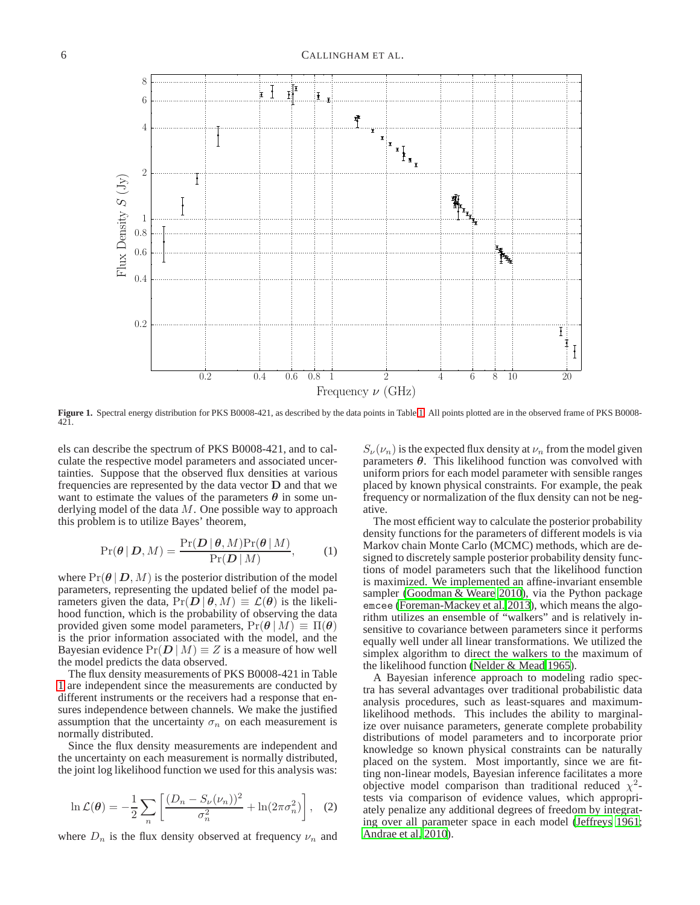

<span id="page-5-0"></span>Figure [1.](#page-3-0) Spectral energy distribution for PKS B0008-421, as described by the data points in Table 1. All points plotted are in the observed frame of PKS B0008-421.

els can describe the spectrum of PKS B0008-421, and to calculate the respective model parameters and associated uncertainties. Suppose that the observed flux densities at various frequencies are represented by the data vector  **and that we** want to estimate the values of the parameters  $\theta$  in some underlying model of the data  $M$ . One possible way to approach this problem is to utilize Bayes' theorem,

$$
\Pr(\boldsymbol{\theta} \mid \boldsymbol{D}, M) = \frac{\Pr(\boldsymbol{D} \mid \boldsymbol{\theta}, M) \Pr(\boldsymbol{\theta} \mid M)}{\Pr(\boldsymbol{D} \mid M)},\tag{1}
$$

where  $Pr(\theta | D, M)$  is the posterior distribution of the model parameters, representing the updated belief of the model parameters given the data,  $Pr(\overline{D} | \theta, M) \equiv \mathcal{L}(\theta)$  is the likelihood function, which is the probability of observing the data provided given some model parameters,  $Pr(\theta | M) \equiv \Pi(\theta)$ is the prior information associated with the model, and the Bayesian evidence  $Pr(D | M) \equiv Z$  is a measure of how well the model predicts the data observed.

The flux density measurements of PKS B0008-421 in Table [1](#page-3-0) are independent since the measurements are conducted by different instruments or the receivers had a response that ensures independence between channels. We make the justified assumption that the uncertainty  $\sigma_n$  on each measurement is normally distributed.

Since the flux density measurements are independent and the uncertainty on each measurement is normally distributed, the joint log likelihood function we used for this analysis was:

$$
\ln \mathcal{L}(\boldsymbol{\theta}) = -\frac{1}{2} \sum_{n} \left[ \frac{(D_n - S_\nu(\nu_n))^2}{\sigma_n^2} + \ln(2\pi\sigma_n^2) \right], \quad (2)
$$

where  $D_n$  is the flux density observed at frequency  $\nu_n$  and

 $S_{\nu}(\nu_n)$  is the expected flux density at  $\nu_n$  from the model given parameters  $\theta$ . This likelihood function was convolved with uniform priors for each model parameter with sensible ranges placed by known physical constraints. For example, the peak frequency or normalization of the flux density can not be negative.

The most efficient way to calculate the posterior probability density functions for the parameters of different models is via Markov chain Monte Carlo (MCMC) methods, which are designed to discretely sample posterior probability density functions of model parameters such that the likelihood function is maximized. We implemented an affine-invariant ensemble sampler [\(Goodman & Weare 2010\)](#page-13-58), via the Python package emcee [\(Foreman-Mackey et al. 2013](#page-13-59)), which means the algorithm utilizes an ensemble of "walkers" and is relatively insensitive to covariance between parameters since it performs equally well under all linear transformations. We utilized the simplex algorithm to direct the walkers to the maximum of the likelihood function [\(Nelder & Mead 1965\)](#page-13-60).

A Bayesian inference approach to modeling radio spectra has several advantages over traditional probabilistic data analysis procedures, such as least-squares and maximumlikelihood methods. This includes the ability to marginalize over nuisance parameters, generate complete probability distributions of model parameters and to incorporate prior knowledge so known physical constraints can be naturally placed on the system. Most importantly, since we are fitting non-linear models, Bayesian inference facilitates a more objective model comparison than traditional reduced  $\chi^2$ tests via comparison of evidence values, which appropriately penalize any additional degrees of freedom by integrating over all parameter space in each model [\(Jeffreys 1961](#page-13-61); [Andrae et al. 2010](#page-12-13)).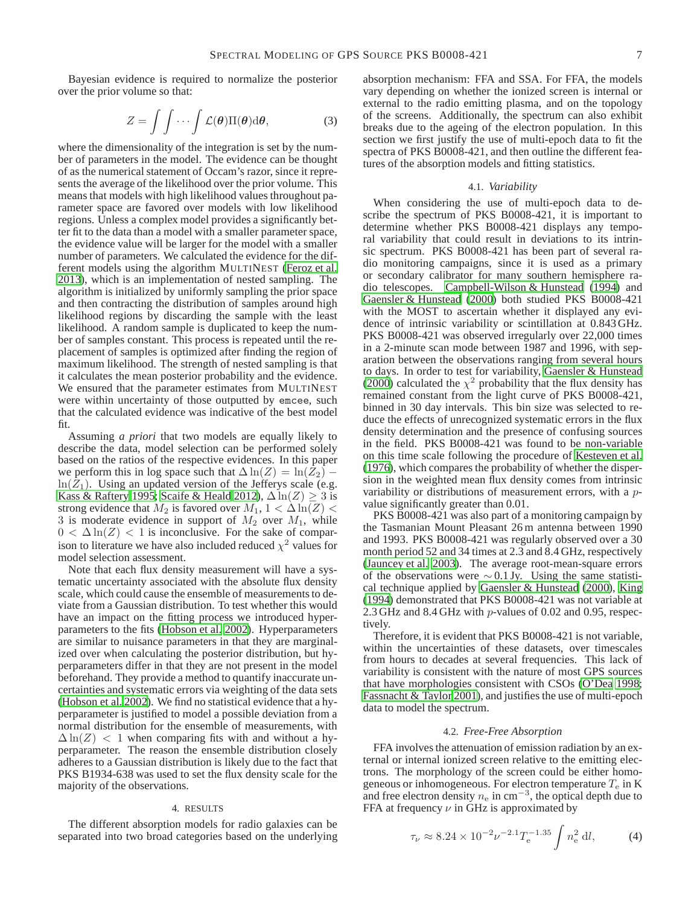Bayesian evidence is required to normalize the posterior over the prior volume so that:

$$
Z = \int \int \cdots \int \mathcal{L}(\boldsymbol{\theta}) \Pi(\boldsymbol{\theta}) d\boldsymbol{\theta}, \tag{3}
$$

where the dimensionality of the integration is set by the number of parameters in the model. The evidence can be thought of as the numerical statement of Occam's razor, since it represents the average of the likelihood over the prior volume. This means that models with high likelihood values throughout parameter space are favored over models with low likelihood regions. Unless a complex model provides a significantly better fit to the data than a model with a smaller parameter space, the evidence value will be larger for the model with a smaller number of parameters. We calculated the evidence for the different models using the algorithm MULTINEST [\(Feroz et al.](#page-13-62) [2013\)](#page-13-62), which is an implementation of nested sampling. The algorithm is initialized by uniformly sampling the prior space and then contracting the distribution of samples around high likelihood regions by discarding the sample with the least likelihood. A random sample is duplicated to keep the number of samples constant. This process is repeated until the replacement of samples is optimized after finding the region of maximum likelihood. The strength of nested sampling is that it calculates the mean posterior probability and the evidence. We ensured that the parameter estimates from MULTINEST were within uncertainty of those outputted by emcee, such that the calculated evidence was indicative of the best model fit.

Assuming *a priori* that two models are equally likely to describe the data, model selection can be performed solely based on the ratios of the respective evidences. In this paper we perform this in log space such that  $\Delta \ln(Z) = \ln(Z_2)$  –  $ln(Z_1)$ . Using an updated version of the Jefferys scale (e.g. [Kass & Raftery 1995;](#page-13-63) [Scaife & Heald 2012\)](#page-13-64),  $\Delta \ln(Z) \geq 3$  is strong evidence that  $M_2$  is favored over  $M_1$ ,  $1 < \Delta \ln(Z)$ 3 is moderate evidence in support of  $M_2$  over  $M_1$ , while  $0 < \Delta \ln(Z) < 1$  is inconclusive. For the sake of comparison to literature we have also included reduced  $\chi^2$  values for model selection assessment.

Note that each flux density measurement will have a systematic uncertainty associated with the absolute flux density scale, which could cause the ensemble of measurements to deviate from a Gaussian distribution. To test whether this would have an impact on the fitting process we introduced hyperparameters to the fits [\(Hobson et al. 2002\)](#page-13-65). Hyperparameters are similar to nuisance parameters in that they are marginalized over when calculating the posterior distribution, but hyperparameters differ in that they are not present in the model beforehand. They provide a method to quantify inaccurate uncertainties and systematic errors via weighting of the data sets [\(Hobson et al. 2002\)](#page-13-65). We find no statistical evidence that a hyperparameter is justified to model a possible deviation from a normal distribution for the ensemble of measurements, with  $\Delta \ln(Z)$  < 1 when comparing fits with and without a hyperparameter. The reason the ensemble distribution closely adheres to a Gaussian distribution is likely due to the fact that PKS B1934-638 was used to set the flux density scale for the majority of the observations.

#### 4. RESULTS

<span id="page-6-0"></span>The different absorption models for radio galaxies can be separated into two broad categories based on the underlying absorption mechanism: FFA and SSA. For FFA, the models vary depending on whether the ionized screen is internal or external to the radio emitting plasma, and on the topology of the screens. Additionally, the spectrum can also exhibit breaks due to the ageing of the electron population. In this section we first justify the use of multi-epoch data to fit the spectra of PKS B0008-421, and then outline the different features of the absorption models and fitting statistics.

# 4.1. *Variability*

<span id="page-6-1"></span>When considering the use of multi-epoch data to describe the spectrum of PKS B0008-421, it is important to determine whether PKS B0008-421 displays any temporal variability that could result in deviations to its intrinsic spectrum. PKS B0008-421 has been part of several radio monitoring campaigns, since it is used as a primary or secondary calibrator for many southern hemisphere radio telescopes. [Campbell-Wilson & Hunstead \(1994](#page-12-10)) and [Gaensler & Hunstead \(2000](#page-13-55)) both studied PKS B0008-421 with the MOST to ascertain whether it displayed any evidence of intrinsic variability or scintillation at 0.843 GHz. PKS B0008-421 was observed irregularly over 22,000 times in a 2-minute scan mode between 1987 and 1996, with separation between the observations ranging from several hours to days. In order to test for variability, [Gaensler & Hunstead](#page-13-55) [\(2000\)](#page-13-55) calculated the  $\chi^2$  probability that the flux density has remained constant from the light curve of PKS B0008-421, binned in 30 day intervals. This bin size was selected to reduce the effects of unrecognized systematic errors in the flux density determination and the presence of confusing sources in the field. PKS B0008-421 was found to be non-variable on this time scale following the procedure of [Kesteven et al.](#page-13-66) [\(1976\)](#page-13-66), which compares the probability of whether the dispersion in the weighted mean flux density comes from intrinsic variability or distributions of measurement errors, with a pvalue significantly greater than 0.01.

PKS B0008-421 was also part of a monitoring campaign by the Tasmanian Mount Pleasant 26 m antenna between 1990 and 1993. PKS B0008-421 was regularly observed over a 30 month period 52 and 34 times at 2.3 and 8.4 GHz, respectively [\(Jauncey et al. 2003\)](#page-13-42). The average root-mean-square errors of the observations were  $\sim 0.1$  Jy. Using the same statistical technique applied by [Gaensler & Hunstead \(2000\)](#page-13-55), [King](#page-13-41) [\(1994\)](#page-13-41) demonstrated that PKS B0008-421 was not variable at 2.3 GHz and 8.4 GHz with p-values of 0.02 and 0.95, respectively.

Therefore, it is evident that PKS B0008-421 is not variable, within the uncertainties of these datasets, over timescales from hours to decades at several frequencies. This lack of variability is consistent with the nature of most GPS sources that have morphologies consistent with CSOs [\(O'Dea 1998](#page-13-7); [Fassnacht & Taylor 2001](#page-13-67)), and justifies the use of multi-epoch data to model the spectrum.

#### 4.2. *Free-Free Absorption*

<span id="page-6-2"></span>FFA involves the attenuation of emission radiation by an external or internal ionized screen relative to the emitting electrons. The morphology of the screen could be either homogeneous or inhomogeneous. For electron temperature  $T_e$  in K and free electron density  $n_e$  in cm<sup>-3</sup>, the optical depth due to FFA at frequency  $\nu$  in GHz is approximated by

$$
\tau_{\nu} \approx 8.24 \times 10^{-2} \nu^{-2.1} T_{\rm e}^{-1.35} \int n_{\rm e}^2 \, \mathrm{d}l,\tag{4}
$$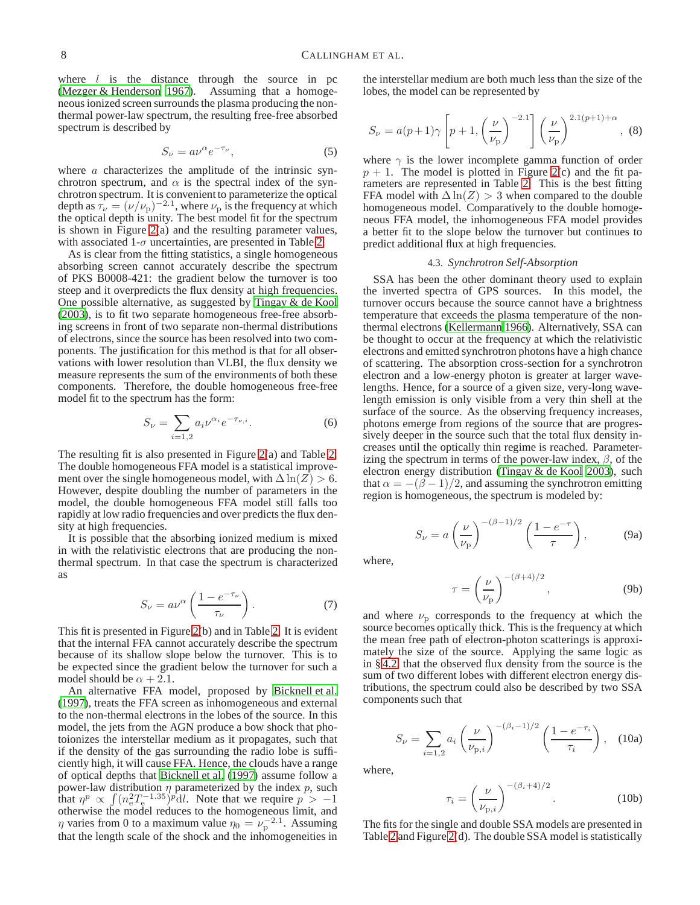where  $l$  is the distance through the source in pc [\(Mezger & Henderson 1967\)](#page-13-68). Assuming that a homogeneous ionized screen surrounds the plasma producing the nonthermal power-law spectrum, the resulting free-free absorbed spectrum is described by

$$
S_{\nu} = a\nu^{\alpha}e^{-\tau_{\nu}},\tag{5}
$$

where  $\alpha$  characterizes the amplitude of the intrinsic synchrotron spectrum, and  $\alpha$  is the spectral index of the synchrotron spectrum. It is convenient to parameterize the optical depth as  $\tau_{\nu} = (\nu/\nu_{\rm p})^{-2.1}$ , where  $\nu_{\rm p}$  is the frequency at which the optical depth is unity. The best model fit for the spectrum is shown in Figure [2\(](#page-9-0)a) and the resulting parameter values, with associated 1- $\sigma$  uncertainties, are presented in Table [2.](#page-8-0)

As is clear from the fitting statistics, a single homogeneous absorbing screen cannot accurately describe the spectrum of PKS B0008-421: the gradient below the turnover is too steep and it overpredicts the flux density at high frequencies. One possible alternative, as suggested by [Tingay & de Kool](#page-13-33) [\(2003](#page-13-33)), is to fit two separate homogeneous free-free absorbing screens in front of two separate non-thermal distributions of electrons, since the source has been resolved into two components. The justification for this method is that for all observations with lower resolution than VLBI, the flux density we measure represents the sum of the environments of both these components. Therefore, the double homogeneous free-free model fit to the spectrum has the form:

$$
S_{\nu} = \sum_{i=1,2} a_i \nu^{\alpha_i} e^{-\tau_{\nu,i}}.
$$
 (6)

The resulting fit is also presented in Figure [2\(](#page-9-0)a) and Table [2.](#page-8-0) The double homogeneous FFA model is a statistical improvement over the single homogeneous model, with  $\Delta \ln(Z) > 6$ . However, despite doubling the number of parameters in the model, the double homogeneous FFA model still falls too rapidly at low radio frequencies and over predicts the flux density at high frequencies.

It is possible that the absorbing ionized medium is mixed in with the relativistic electrons that are producing the nonthermal spectrum. In that case the spectrum is characterized as

$$
S_{\nu} = a\nu^{\alpha} \left( \frac{1 - e^{-\tau_{\nu}}}{\tau_{\nu}} \right). \tag{7}
$$

This fit is presented in Figure [2\(](#page-9-0)b) and in Table [2.](#page-8-0) It is evident that the internal FFA cannot accurately describe the spectrum because of its shallow slope below the turnover. This is to be expected since the gradient below the turnover for such a model should be  $\alpha + 2.1$ .

An alternative FFA model, proposed by [Bicknell et al.](#page-12-4) [\(1997](#page-12-4)), treats the FFA screen as inhomogeneous and external to the non-thermal electrons in the lobes of the source. In this model, the jets from the AGN produce a bow shock that photoionizes the interstellar medium as it propagates, such that if the density of the gas surrounding the radio lobe is sufficiently high, it will cause FFA. Hence, the clouds have a range of optical depths that [Bicknell et al.](#page-12-4) [\(1997\)](#page-12-4) assume follow a power-law distribution  $\eta$  parameterized by the index  $p$ , such that  $\eta^p \propto \int (n_e^2 T_e^{-1.35})^p dl$ . Note that we require  $p > -1$ otherwise the model reduces to the homogeneous limit, and  $\eta$  varies from 0 to a maximum value  $\eta_0 = \nu_{\rm p}^{-2.1}$ . Assuming that the length scale of the shock and the inhomogeneities in

the interstellar medium are both much less than the size of the lobes, the model can be represented by

$$
S_{\nu} = a(p+1)\gamma \left[ p+1, \left( \frac{\nu}{\nu_{\rm p}} \right)^{-2.1} \right] \left( \frac{\nu}{\nu_{\rm p}} \right)^{2.1(p+1)+\alpha}, \tag{8}
$$

where  $\gamma$  is the lower incomplete gamma function of order  $p + 1$ . The model is plotted in Figure [2\(](#page-9-0)c) and the fit parameters are represented in Table [2.](#page-8-0) This is the best fitting FFA model with  $\Delta \ln(Z) > 3$  when compared to the double homogeneous model. Comparatively to the double homogeneous FFA model, the inhomogeneous FFA model provides a better fit to the slope below the turnover but continues to predict additional flux at high frequencies.

# 4.3. *Synchrotron Self-Absorption*

SSA has been the other dominant theory used to explain the inverted spectra of GPS sources. In this model, the turnover occurs because the source cannot have a brightness temperature that exceeds the plasma temperature of the nonthermal electrons [\(Kellermann 1966\)](#page-13-23). Alternatively, SSA can be thought to occur at the frequency at which the relativistic electrons and emitted synchrotron photons have a high chance of scattering. The absorption cross-section for a synchrotron electron and a low-energy photon is greater at larger wavelengths. Hence, for a source of a given size, very-long wavelength emission is only visible from a very thin shell at the surface of the source. As the observing frequency increases, photons emerge from regions of the source that are progressively deeper in the source such that the total flux density increases until the optically thin regime is reached. Parameterizing the spectrum in terms of the power-law index,  $\beta$ , of the electron energy distribution [\(Tingay & de Kool 2003\)](#page-13-33), such that  $\alpha = -(\beta - 1)/2$ , and assuming the synchrotron emitting region is homogeneous, the spectrum is modeled by:

$$
S_{\nu} = a \left(\frac{\nu}{\nu_{\rm p}}\right)^{-(\beta - 1)/2} \left(\frac{1 - e^{-\tau}}{\tau}\right),\tag{9a}
$$

where,

$$
\tau = \left(\frac{\nu}{\nu_{\rm p}}\right)^{-(\beta+4)/2},\tag{9b}
$$

and where  $\nu_{\rm p}$  corresponds to the frequency at which the source becomes optically thick. This is the frequency at which the mean free path of electron-photon scatterings is approximately the size of the source. Applying the same logic as in § [4.2,](#page-6-2) that the observed flux density from the source is the sum of two different lobes with different electron energy distributions, the spectrum could also be described by two SSA components such that

$$
S_{\nu} = \sum_{i=1,2} a_i \left(\frac{\nu}{\nu_{\text{p},i}}\right)^{-(\beta_i - 1)/2} \left(\frac{1 - e^{-\tau_i}}{\tau_i}\right), \quad (10a)
$$

where,

$$
\tau_i = \left(\frac{\nu}{\nu_{\text{p},i}}\right)^{-(\beta_i+4)/2}.\tag{10b}
$$

The fits for the single and double SSA models are presented in Table [2](#page-8-0) and Figure [2\(](#page-9-0)d). The double SSA model is statistically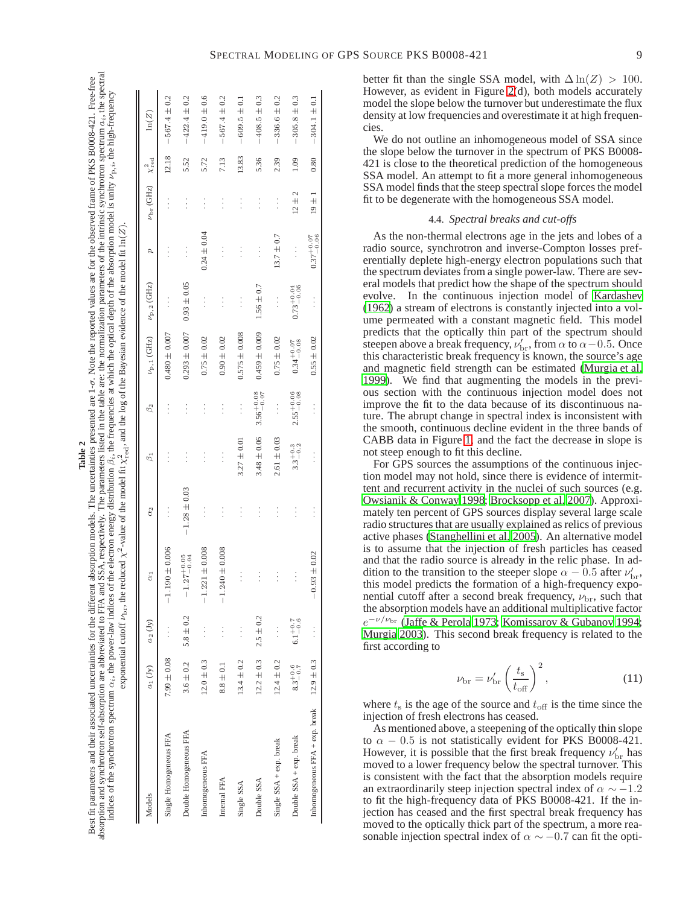| ndices of the synchrotron $\alpha_i$ , the power-law indices of the electron energy distribution $\beta_i$ , the frequencies at which the optical depth of the absorption model is unity $\nu_{p,i}$ , the high-frequency<br>the reduced $\chi^2$ -value of the model fit $\chi^2_{\text{red}}$ , and the log of the Bayesian evidence of the model fit $\ln(Z)$ . | $\beta_2$ $\nu_{p,1}$ (GHz) $\nu_{p,2}$ (GHz)<br>$\alpha_2$<br>$\alpha_1$ | $\therefore$ 12.18 -567.4 $\pm$ 0.2<br>$0.480 \pm 0.007$<br>$\vdots$<br>$-1.190 \pm 0.006$ | 5.52 $-422.4 \pm 0.2$<br>$0.293 \pm 0.007$ 0.93 $\pm 0.05$<br>$-1.27^{+0.05}_{-0.04}$ $-1.28 \pm 0.03$ |
|--------------------------------------------------------------------------------------------------------------------------------------------------------------------------------------------------------------------------------------------------------------------------------------------------------------------------------------------------------------------|---------------------------------------------------------------------------|--------------------------------------------------------------------------------------------|--------------------------------------------------------------------------------------------------------|
|                                                                                                                                                                                                                                                                                                                                                                    |                                                                           |                                                                                            |                                                                                                        |
| exponential cutoff $\nu_{\rm hr}$ , L                                                                                                                                                                                                                                                                                                                              | $a_1$ (Jy) $a_2$ (Jy)                                                     | $7.99 \pm 0.08$                                                                            | $3.6 \pm 0.2$ $5.8 \pm 0.2$                                                                            |
|                                                                                                                                                                                                                                                                                                                                                                    | Models                                                                    | single Homogeneous FFA                                                                     | Double Homogeneous FFA                                                                                 |

Inhomogeneous FFA 12.0

<span id="page-8-0"></span>Inhomogeneous FFA Internal FFA

Internal FFA 8.8

Single SSA 13.4

Double SSA 12.2

Double SSA Single SSA

Single  $SSA + exp$ . break 12.4

Double SSA + exp. break  $8.3^{+0.6}_{-0.7}$ 

Inhomogeneous FFA + exp. break 12.9

Inhomogeneous FFA + exp. Double SSA + exp. break Single SSA + exp. break

break

 $12.9 \pm 0.3$ 

 $\pm 0.3$  · · · · · - - 0.93

 $\vdots$ 

 $-0.93 \pm 0.02$ 

 $\pm 0.02$   $\cdots$   $\cdots$  0.55

 $\vdots$ 

−0.7 6.1+0.7 −0.6

 $\frac{3}{3}$   $\frac{3}{3}$   $\frac{1}{3}$   $\frac{3}{3}$   $\frac{1}{3}$   $\frac{3}{3}$   $\frac{3}{3}$   $\frac{3}{3}$   $\frac{3}{3}$   $\frac{3}{3}$   $\frac{3}{3}$   $\frac{3}{3}$   $\frac{3}{3}$   $\frac{3}{3}$   $\frac{3}{3}$   $\frac{3}{3}$   $\frac{3}{3}$   $\frac{3}{3}$   $\frac{3}{3}$   $\frac{3}{3}$   $\frac{3}{3}$   $\frac{3}{3}$ 

 $12.4 \pm 0.2$ 

 $\frac{1}{2}$ 

 $\pm 0.3$  2.5

 $2.5 \pm 0.2$ 

 $0.2$   $\cdots$   $\cdots$   $0.2$ 

 $\frac{1}{2}$   $\frac{1}{2}$   $\frac{1}{2}$   $\frac{1}{2}$   $\frac{1}{2}$   $\frac{1}{2}$   $\frac{1}{2}$   $\frac{1}{2}$   $\frac{1}{2}$   $\frac{1}{2}$   $\frac{1}{2}$   $\frac{1}{2}$   $\frac{1}{2}$   $\frac{1}{2}$   $\frac{1}{2}$   $\frac{1}{2}$   $\frac{1}{2}$   $\frac{1}{2}$   $\frac{1}{2}$   $\frac{1}{2}$   $\frac{1}{2}$   $\frac{1}{2}$ 

÷  $\vdots$ 

 $13.4 \pm 0.2$ 

 $8.8\pm0.1$ 

 $\pm 0.1$   $\cdots$   $\cdots$   $\pm 1.240$ 

 $-1.240 \pm 0.008$ 

 $\pm 0.2$   $\cdots$   $\cdots$  3.27

 $12.0 \pm 0.3$ 

 $\pm 0.3$  · · · · · -1.221

 $-1.221 \pm 0.008$ 

0.008 · · · · · · · · · 0.75

0.008 · · · · · · · · · 0.90

 $3.27 \pm 0.01$ 

 $3.48 \pm 0.06$ 

 $2.61 \pm 0.03$ 

 $\vdots$  $\vdots$  $\vdots$ 

 $\pm 0.03$   $\cdots$  0.75

 $\vdots$ 

 $3.3^{+0.3}_{-0.2}$  2.55 $^{+0.06}_{-0.08}$ 

+0.06 0.34+0.08<br>−0.08 0.34+0.08

 $0.34^{+0.07}_{-0.08}$  $0.55$ 

+0.07<br>-0.08 0.73<sup>+0.04</sup><br>-0.08  $0.73^{+0.04}_{-0.05}$ 

 $\pm$  0.02

 $\vdots$ 

 $\pm 0.02$   $\cdots$   $0.37^{+0.07}_{-0.06}$ 

 $\vdots$ 

 $0.37^{+0.07}_{-0.06}$ 

 $19 \pm 1$ 

1 0.80

 $-304.1 \pm 0.1$ 

 $\vdots$ 

 $± 2$  1.09

−305.8 ± 0.3

 $0.75 \pm 0.02$ 

 $\pm 0.02$   $\cdots$  13.7

 $\frac{1}{2}$ 

 $13.7 \pm 0.7$ 

 $\pm 0.7$   $\ldots$  2.39

 $\vdots$ 

 $\pm 0.06$  3.56 $^{+0.08}_{-0.07}$ 

−0.07 0.459

 $\pm 0.009$  1.56

 $1.56 \pm 0.7$ 

 $6.36$ <br> $\pm 0.7$ 

 $\vdots$ 

 $\pm 0.01$   $\cdots$  0.575

 $0.575 \pm 0.008$ 

 $0.75 \pm 0.02$ 

 $0.90 \pm 0.02$ 

[1]<br>2000年<br>2000年

 $\vdots$  $\vdots$ 

0.008 · · · · · · · · · 13.83

 $\pm 0.02$   $\cdots$   $\cdots$ 

 $0.24 \pm 0.04$ 

 $\pm 0.04$   $\cdots$  5.72

 $-419.0 \pm 0.6$ 

5.72 7.13

−567.4 ± 0.2

−609.5 ± 0.1

13.83

 $-408.5 \pm 0.3$ 

5.36 2.39

 $-336.6 \pm 0.2$ 

better fit than the single SSA model, with  $\Delta \ln(Z) > 100$ . However, as evident in Figure [2\(](#page-9-0)d), both models accurately model the slope below the turnover but underestimate the flux density at low frequencies and overestimate it at high frequencies.

We do not outline an inhomogeneous model of SSA since the slope below the turnover in the spectrum of PKS B0008- 421 is close to the theoretical prediction of the homogeneous SSA model. An attempt to fit a more general inhomogeneous SSA model finds that the steep spectral slope forces the model fit to be degenerate with the homogeneous SSA model.

### 4.4. *Spectral breaks and cut-offs*

As the non-thermal electrons age in the jets and lobes of a radio source, synchrotron and inverse-Compton losses preferentially deplete high-energy electron populations such that the spectrum deviates from a single power-law. There are several models that predict how the shape of the spectrum should evolve. In the continuous injection model of [Kardashev](#page-13-69) [\(1962\)](#page-13-69) a stream of electrons is constantly injected into a volume permeated with a constant magnetic field. This model predicts that the optically thin part of the spectrum should steepen above a break frequency,  $v'_{\text{br}}$ , from  $\alpha$  to  $\alpha$  – 0.5. Once this characteristic break frequency is known, the source's age and magnetic field strength can be estimated [\(Murgia et al.](#page-13-18) [1999\)](#page-13-18). We find that augmenting the models in the previous section with the continuous injection model does not improve the fit to the data because of its discontinuous nature. The abrupt change in spectral index is inconsistent with the smooth, continuous decline evident in the three bands of CABB data in Figure [1,](#page-5-0) and the fact the decrease in slope is not steep enough to fit this decline.

For GPS sources the assumptions of the continuous injection model may not hold, since there is evidence of intermittent and recurrent activity in the nuclei of such sources (e.g. [Owsianik & Conway 1998;](#page-13-15) [Brocksopp et al. 2007\)](#page-12-14). Approximately ten percent of GPS sources display several large scale radio structures that are usually explained as relics of previous active phases [\(Stanghellini et al. 2005\)](#page-13-70). An alternative model is to assume that the injection of fresh particles has ceased and that the radio source is already in the relic phase. In addition to the transition to the steeper slope  $\alpha - 0.5$  after  $\nu'_{\rm br}$ , this model predicts the formation of a high-frequency exponential cutoff after a second break frequency,  $\nu$ <sub>br</sub>, such that the absorption models have an additional multiplicative factor  $e^{-\nu/\nu_{\rm br}}$  [\(Jaffe & Perola 1973;](#page-13-71) [Komissarov & Gubanov 1994](#page-13-72); [Murgia 2003\)](#page-13-73). This second break frequency is related to the first according to

<span id="page-8-1"></span>
$$
\nu_{\rm br} = \nu_{\rm br}' \left(\frac{t_{\rm s}}{t_{\rm off}}\right)^2,\tag{11}
$$

where  $t_s$  is the age of the source and  $t_{\text{off}}$  is the time since the injection of fresh electrons has ceased.

As mentioned above, a steepening of the optically thin slope to  $\alpha$  – 0.5 is not statistically evident for PKS B0008-421. However, it is possible that the first break frequency  $\nu'_{\rm br}$  has moved to a lower frequency below the spectral turnover. This is consistent with the fact that the absorption models require an extraordinarily steep injection spectral index of  $\alpha \sim -1.2$ to fit the high-frequency data of PKS B0008-421. If the injection has ceased and the first spectral break frequency has moved to the optically thick part of the spectrum, a more reasonable injection spectral index of  $\alpha \sim -0.7$  can fit the opti-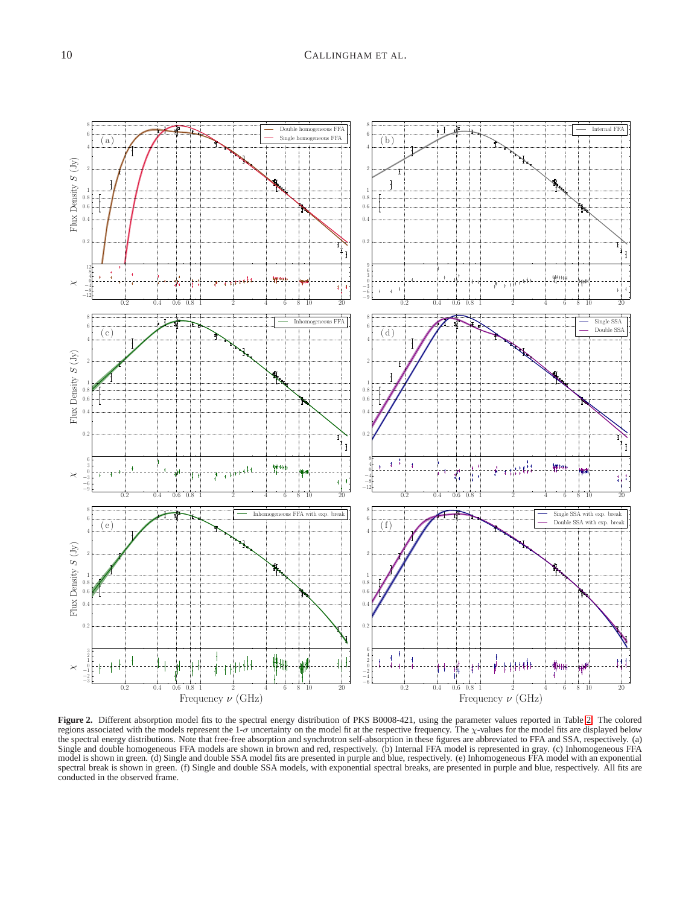

<span id="page-9-0"></span>Figure [2.](#page-8-0) Different absorption model fits to the spectral energy distribution of PKS B0008-421, using the parameter values reported in Table 2. The colored regions associated with the models represent the  $1-\sigma$  uncertainty on the model fit at the respective frequency. The  $\chi$ -values for the model fits are displayed below the spectral energy distributions. Note that free-free absorption and synchrotron self-absorption in these figures are abbreviated to FFA and SSA, respectively. (a) Single and double homogeneous FFA models are shown in brown and red, respectively. (b) Internal FFA model is represented in gray. (c) Inhomogeneous FFA model is shown in green. (d) Single and double SSA model fits are presented in purple and blue, respectively. (e) Inhomogeneous FFA model with an exponential spectral break is shown in green. (f) Single and double SSA models, with exponential spectral breaks, are presented in purple and blue, respectively. All fits are conducted in the observed frame.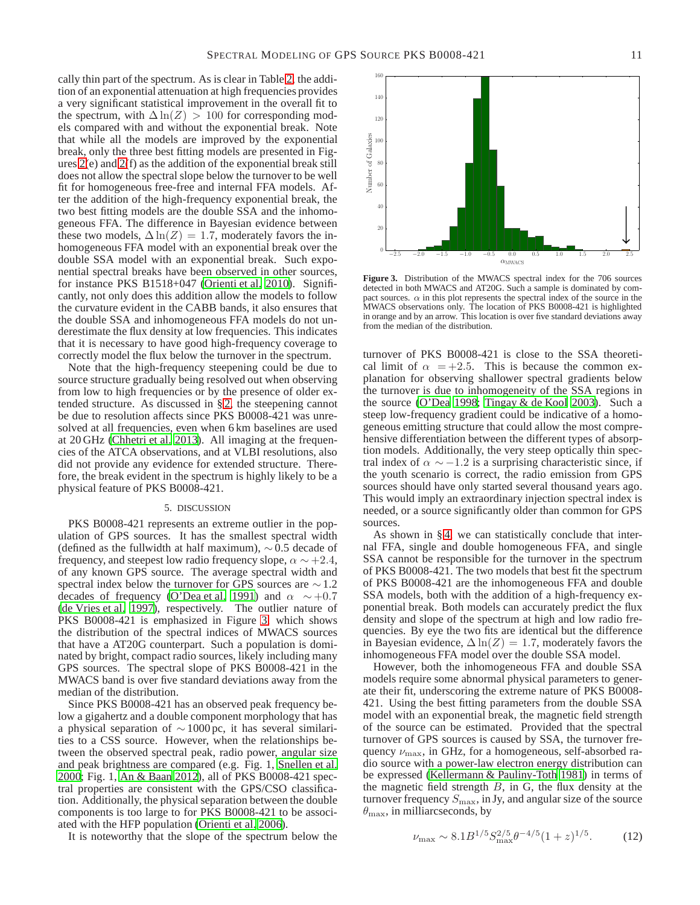cally thin part of the spectrum. As is clear in Table [2,](#page-8-0) the addition of an exponential attenuation at high frequencies provides a very significant statistical improvement in the overall fit to the spectrum, with  $\Delta \ln(Z) > 100$  for corresponding models compared with and without the exponential break. Note that while all the models are improved by the exponential break, only the three best fitting models are presented in Figures [2\(](#page-9-0)e) and [2\(](#page-9-0)f) as the addition of the exponential break still does not allow the spectral slope below the turnover to be well fit for homogeneous free-free and internal FFA models. After the addition of the high-frequency exponential break, the two best fitting models are the double SSA and the inhomogeneous FFA. The difference in Bayesian evidence between these two models,  $\Delta \ln(Z) = 1.7$ , moderately favors the inhomogeneous FFA model with an exponential break over the double SSA model with an exponential break. Such exponential spectral breaks have been observed in other sources, for instance PKS B1518+047 [\(Orienti et al. 2010\)](#page-13-19). Significantly, not only does this addition allow the models to follow the curvature evident in the CABB bands, it also ensures that the double SSA and inhomogeneous FFA models do not underestimate the flux density at low frequencies. This indicates that it is necessary to have good high-frequency coverage to correctly model the flux below the turnover in the spectrum.

Note that the high-frequency steepening could be due to source structure gradually being resolved out when observing from low to high frequencies or by the presence of older extended structure. As discussed in § [2,](#page-2-0) the steepening cannot be due to resolution affects since PKS B0008-421 was unresolved at all frequencies, even when 6 km baselines are used at 20 GHz [\(Chhetri et al. 2013\)](#page-12-11). All imaging at the frequencies of the ATCA observations, and at VLBI resolutions, also did not provide any evidence for extended structure. Therefore, the break evident in the spectrum is highly likely to be a physical feature of PKS B0008-421.

### 5. DISCUSSION

<span id="page-10-0"></span>PKS B0008-421 represents an extreme outlier in the population of GPS sources. It has the smallest spectral width (defined as the fullwidth at half maximum),  $\sim 0.5$  decade of frequency, and steepest low radio frequency slope,  $\alpha \sim +2.4$ , of any known GPS source. The average spectral width and spectral index below the turnover for GPS sources are  $\sim$  1.2 decades of frequency [\(O'Dea et al. 1991\)](#page-13-0) and  $\alpha \sim +0.7$ [\(de Vries et al. 1997\)](#page-12-1), respectively. The outlier nature of PKS B0008-421 is emphasized in Figure [3,](#page-10-1) which shows the distribution of the spectral indices of MWACS sources that have a AT20G counterpart. Such a population is dominated by bright, compact radio sources, likely including many GPS sources. The spectral slope of PKS B0008-421 in the MWACS band is over five standard deviations away from the median of the distribution.

Since PKS B0008-421 has an observed peak frequency below a gigahertz and a double component morphology that has a physical separation of  $\sim$  1000 pc, it has several similarities to a CSS source. However, when the relationships between the observed spectral peak, radio power, angular size and peak brightness are compared (e.g. Fig. 1, [Snellen et al.](#page-13-14) [2000;](#page-13-14) Fig. 1, [An & Baan 2012](#page-12-3)), all of PKS B0008-421 spectral properties are consistent with the GPS/CSO classification. Additionally, the physical separation between the double components is too large to for PKS B0008-421 to be associated with the HFP population [\(Orienti et al. 2006\)](#page-13-11).

It is noteworthy that the slope of the spectrum below the



<span id="page-10-1"></span>**Figure 3.** Distribution of the MWACS spectral index for the 706 sources detected in both MWACS and AT20G. Such a sample is dominated by compact sources.  $\alpha$  in this plot represents the spectral index of the source in the MWACS observations only. The location of PKS B0008-421 is highlighted in orange and by an arrow. This location is over five standard deviations away from the median of the distribution.

turnover of PKS B0008-421 is close to the SSA theoretical limit of  $\alpha$  = +2.5. This is because the common explanation for observing shallower spectral gradients below the turnover is due to inhomogeneity of the SSA regions in the source [\(O'Dea 1998;](#page-13-7) [Tingay & de Kool 2003](#page-13-33)). Such a steep low-frequency gradient could be indicative of a homogeneous emitting structure that could allow the most comprehensive differentiation between the different types of absorption models. Additionally, the very steep optically thin spectral index of  $\alpha \sim -1.2$  is a surprising characteristic since, if the youth scenario is correct, the radio emission from GPS sources should have only started several thousand years ago. This would imply an extraordinary injection spectral index is needed, or a source significantly older than common for GPS sources.

As shown in § [4,](#page-6-0) we can statistically conclude that internal FFA, single and double homogeneous FFA, and single SSA cannot be responsible for the turnover in the spectrum of PKS B0008-421. The two models that best fit the spectrum of PKS B0008-421 are the inhomogeneous FFA and double SSA models, both with the addition of a high-frequency exponential break. Both models can accurately predict the flux density and slope of the spectrum at high and low radio frequencies. By eye the two fits are identical but the difference in Bayesian evidence,  $\Delta \ln(Z) = 1.7$ , moderately favors the inhomogeneous FFA model over the double SSA model.

However, both the inhomogeneous FFA and double SSA models require some abnormal physical parameters to generate their fit, underscoring the extreme nature of PKS B0008- 421. Using the best fitting parameters from the double SSA model with an exponential break, the magnetic field strength of the source can be estimated. Provided that the spectral turnover of GPS sources is caused by SSA, the turnover frequency  $\nu_{\text{max}}$ , in GHz, for a homogeneous, self-absorbed radio source with a power-law electron energy distribution can be expressed [\(Kellermann & Pauliny-Toth 1981\)](#page-13-74) in terms of the magnetic field strength  $B$ , in G, the flux density at the turnover frequency  $S_{\text{max}}$ , in Jy, and angular size of the source  $\theta_{\text{max}}$ , in milliarcseconds, by

$$
\nu_{\text{max}} \sim 8.1 B^{1/5} S_{\text{max}}^{2/5} \theta^{-4/5} (1+z)^{1/5}.
$$
 (12)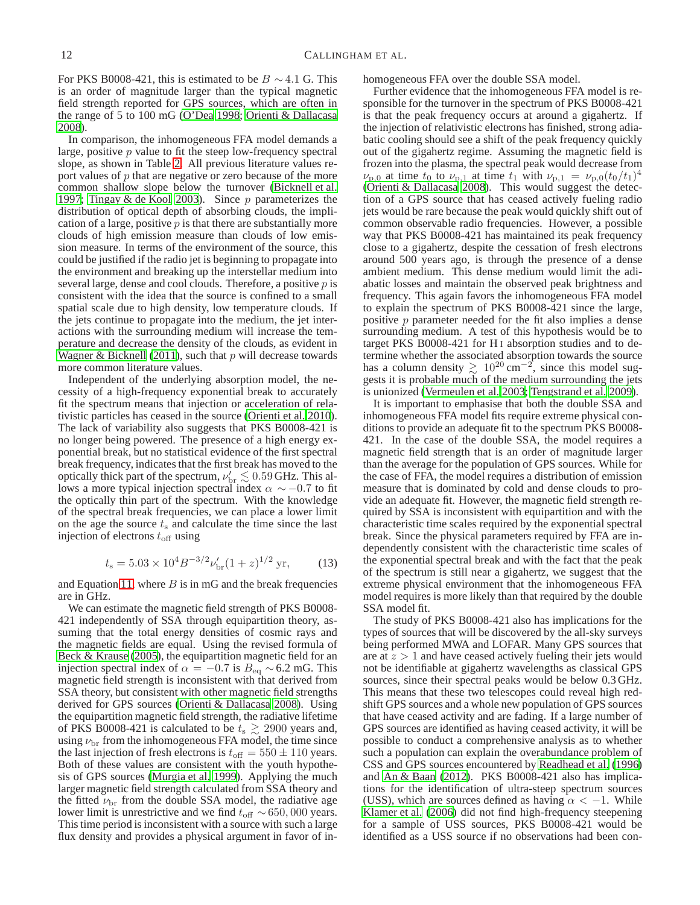For PKS B0008-421, this is estimated to be  $B \sim 4.1$  G. This is an order of magnitude larger than the typical magnetic field strength reported for GPS sources, which are often in the range of 5 to 100 mG [\(O'Dea 1998;](#page-13-7) [Orienti & Dallacasa](#page-13-30) [2008\)](#page-13-30).

In comparison, the inhomogeneous FFA model demands a large, positive  $p$  value to fit the steep low-frequency spectral slope, as shown in Table [2.](#page-8-0) All previous literature values report values of  $p$  that are negative or zero because of the more common shallow slope below the turnover [\(Bicknell et al.](#page-12-4) [1997;](#page-12-4) [Tingay & de Kool 2003\)](#page-13-33). Since  $p$  parameterizes the distribution of optical depth of absorbing clouds, the implication of a large, positive  $p$  is that there are substantially more clouds of high emission measure than clouds of low emission measure. In terms of the environment of the source, this could be justified if the radio jet is beginning to propagate into the environment and breaking up the interstellar medium into several large, dense and cool clouds. Therefore, a positive  $p$  is consistent with the idea that the source is confined to a small spatial scale due to high density, low temperature clouds. If the jets continue to propagate into the medium, the jet interactions with the surrounding medium will increase the temperature and decrease the density of the clouds, as evident in [Wagner & Bicknell \(2011\)](#page-13-75), such that  $p$  will decrease towards more common literature values.

Independent of the underlying absorption model, the necessity of a high-frequency exponential break to accurately fit the spectrum means that injection or acceleration of relativistic particles has ceased in the source [\(Orienti et al. 2010\)](#page-13-19). The lack of variability also suggests that PKS B0008-421 is no longer being powered. The presence of a high energy exponential break, but no statistical evidence of the first spectral break frequency, indicates that the first break has moved to the optically thick part of the spectrum,  $v'_{\text{br}} \lesssim 0.59 \text{ GHz}$ . This allows a more typical injection spectral index  $\alpha \sim -0.7$  to fit the optically thin part of the spectrum. With the knowledge of the spectral break frequencies, we can place a lower limit on the age the source  $t_s$  and calculate the time since the last injection of electrons  $t_{\text{off}}$  using

$$
t_{\rm s} = 5.03 \times 10^4 B^{-3/2} \nu_{\rm br}' (1+z)^{1/2} \,\rm yr,\qquad (13)
$$

and Equation [11,](#page-8-1) where  $B$  is in mG and the break frequencies are in GHz.

We can estimate the magnetic field strength of PKS B0008- 421 independently of SSA through equipartition theory, assuming that the total energy densities of cosmic rays and the magnetic fields are equal. Using the revised formula of [Beck & Krause](#page-12-15) [\(2005\)](#page-12-15), the equipartition magnetic field for an injection spectral index of  $\alpha = -0.7$  is  $B_{\text{eq}} \sim 6.2$  mG. This magnetic field strength is inconsistent with that derived from SSA theory, but consistent with other magnetic field strengths derived for GPS sources [\(Orienti & Dallacasa 2008\)](#page-13-30). Using the equipartition magnetic field strength, the radiative lifetime of PKS B0008-421 is calculated to be  $t_s \gtrsim 2900$  years and, using  $\nu$ <sub>br</sub> from the inhomogeneous FFA model, the time since the last injection of fresh electrons is  $t_{\text{off}} = 550 \pm 110$  years. Both of these values are consistent with the youth hypothesis of GPS sources [\(Murgia et al. 1999\)](#page-13-18). Applying the much larger magnetic field strength calculated from SSA theory and the fitted  $\nu_{\rm br}$  from the double SSA model, the radiative age lower limit is unrestrictive and we find  $t_{\text{off}} \sim 650,000$  years. This time period is inconsistent with a source with such a large flux density and provides a physical argument in favor of inhomogeneous FFA over the double SSA model.

Further evidence that the inhomogeneous FFA model is responsible for the turnover in the spectrum of PKS B0008-421 is that the peak frequency occurs at around a gigahertz. If the injection of relativistic electrons has finished, strong adiabatic cooling should see a shift of the peak frequency quickly out of the gigahertz regime. Assuming the magnetic field is frozen into the plasma, the spectral peak would decrease from  $\nu_{\rm p,0}$  at time  $t_0$  to  $\nu_{\rm p,1}$  at time  $t_1$  with  $\nu_{\rm p,1} = \nu_{\rm p,0} (t_0/t_1)^4$ [\(Orienti & Dallacasa 2008\)](#page-13-30). This would suggest the detection of a GPS source that has ceased actively fueling radio jets would be rare because the peak would quickly shift out of common observable radio frequencies. However, a possible way that PKS B0008-421 has maintained its peak frequency close to a gigahertz, despite the cessation of fresh electrons around 500 years ago, is through the presence of a dense ambient medium. This dense medium would limit the adiabatic losses and maintain the observed peak brightness and frequency. This again favors the inhomogeneous FFA model to explain the spectrum of PKS B0008-421 since the large, positive  $p$  parameter needed for the fit also implies a dense surrounding medium. A test of this hypothesis would be to target PKS B0008-421 for H I absorption studies and to determine whether the associated absorption towards the source has a column density  $\geq 10^{20}$  cm<sup>-2</sup>, since this model suggests it is probable much of the medium surrounding the jets is unionized [\(Vermeulen et al. 2003](#page-13-76); [Tengstrand et al. 2009\)](#page-13-77).

It is important to emphasise that both the double SSA and inhomogeneous FFA model fits require extreme physical conditions to provide an adequate fit to the spectrum PKS B0008- 421. In the case of the double SSA, the model requires a magnetic field strength that is an order of magnitude larger than the average for the population of GPS sources. While for the case of FFA, the model requires a distribution of emission measure that is dominated by cold and dense clouds to provide an adequate fit. However, the magnetic field strength required by SSA is inconsistent with equipartition and with the characteristic time scales required by the exponential spectral break. Since the physical parameters required by FFA are independently consistent with the characteristic time scales of the exponential spectral break and with the fact that the peak of the spectrum is still near a gigahertz, we suggest that the extreme physical environment that the inhomogeneous FFA model requires is more likely than that required by the double SSA model fit.

The study of PKS B0008-421 also has implications for the types of sources that will be discovered by the all-sky surveys being performed MWA and LOFAR. Many GPS sources that are at  $z > 1$  and have ceased actively fueling their jets would not be identifiable at gigahertz wavelengths as classical GPS sources, since their spectral peaks would be below 0.3 GHz. This means that these two telescopes could reveal high redshift GPS sources and a whole new population of GPS sources that have ceased activity and are fading. If a large number of GPS sources are identified as having ceased activity, it will be possible to conduct a comprehensive analysis as to whether such a population can explain the overabundance problem of CSS and GPS sources encountered by [Readhead et al.](#page-13-21) [\(1996\)](#page-13-21) and [An & Baan \(2012](#page-12-3)). PKS B0008-421 also has implications for the identification of ultra-steep spectrum sources (USS), which are sources defined as having  $\alpha < -1$ . While [Klamer et al. \(2006](#page-13-78)) did not find high-frequency steepening for a sample of USS sources, PKS B0008-421 would be identified as a USS source if no observations had been con-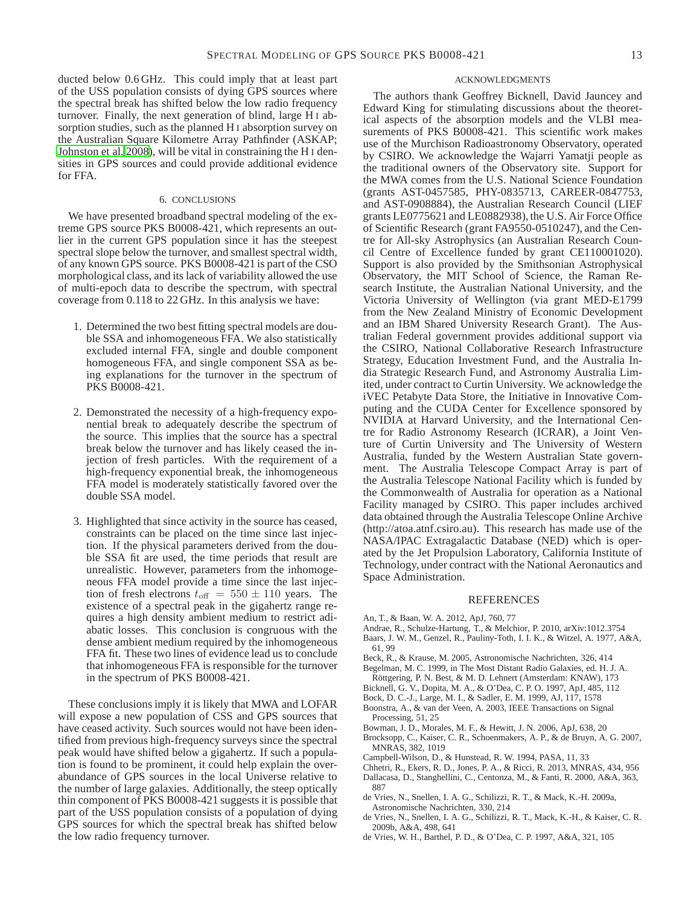ducted below 0.6 GHz. This could imply that at least part of the USS population consists of dying GPS sources where the spectral break has shifted below the low radio frequency turnover. Finally, the next generation of blind, large H I absorption studies, such as the planned H I absorption survey on the Australian Square Kilometre Array Pathfinder (ASKAP; [Johnston et al. 2008](#page-13-79)), will be vital in constraining the H I densities in GPS sources and could provide additional evidence for FFA.

# 6. CONCLUSIONS

We have presented broadband spectral modeling of the extreme GPS source PKS B0008-421, which represents an outlier in the current GPS population since it has the steepest spectral slope below the turnover, and smallest spectral width, of any known GPS source. PKS B0008-421 is part of the CSO morphological class, and its lack of variability allowed the use of multi-epoch data to describe the spectrum, with spectral coverage from 0.118 to 22 GHz. In this analysis we have:

- 1. Determined the two best fitting spectral models are double SSA and inhomogeneous FFA. We also statistically excluded internal FFA, single and double component homogeneous FFA, and single component SSA as being explanations for the turnover in the spectrum of PKS B0008-421.
- 2. Demonstrated the necessity of a high-frequency exponential break to adequately describe the spectrum of the source. This implies that the source has a spectral break below the turnover and has likely ceased the injection of fresh particles. With the requirement of a high-frequency exponential break, the inhomogeneous FFA model is moderately statistically favored over the double SSA model.
- 3. Highlighted that since activity in the source has ceased, constraints can be placed on the time since last injection. If the physical parameters derived from the double SSA fit are used, the time periods that result are unrealistic. However, parameters from the inhomogeneous FFA model provide a time since the last injection of fresh electrons  $t_{\text{off}} = 550 \pm 110$  years. The existence of a spectral peak in the gigahertz range requires a high density ambient medium to restrict adiabatic losses. This conclusion is congruous with the dense ambient medium required by the inhomogeneous FFA fit. These two lines of evidence lead us to conclude that inhomogeneous FFA is responsible for the turnover in the spectrum of PKS B0008-421.

These conclusions imply it is likely that MWA and LOFAR will expose a new population of CSS and GPS sources that have ceased activity. Such sources would not have been identified from previous high-frequency surveys since the spectral peak would have shifted below a gigahertz. If such a population is found to be prominent, it could help explain the overabundance of GPS sources in the local Universe relative to the number of large galaxies. Additionally, the steep optically thin component of PKS B0008-421 suggests it is possible that part of the USS population consists of a population of dying GPS sources for which the spectral break has shifted below the low radio frequency turnover.

### ACKNOWLEDGMENTS

The authors thank Geoffrey Bicknell, David Jauncey and Edward King for stimulating discussions about the theoretical aspects of the absorption models and the VLBI measurements of PKS B0008-421. This scientific work makes use of the Murchison Radioastronomy Observatory, operated by CSIRO. We acknowledge the Wajarri Yamatji people as the traditional owners of the Observatory site. Support for the MWA comes from the U.S. National Science Foundation (grants AST-0457585, PHY-0835713, CAREER-0847753, and AST-0908884), the Australian Research Council (LIEF grants LE0775621 and LE0882938), the U.S. Air Force Office of Scientific Research (grant FA9550-0510247), and the Centre for All-sky Astrophysics (an Australian Research Council Centre of Excellence funded by grant CE110001020). Support is also provided by the Smithsonian Astrophysical Observatory, the MIT School of Science, the Raman Research Institute, the Australian National University, and the Victoria University of Wellington (via grant MED-E1799 from the New Zealand Ministry of Economic Development and an IBM Shared University Research Grant). The Australian Federal government provides additional support via the CSIRO, National Collaborative Research Infrastructure Strategy, Education Investment Fund, and the Australia India Strategic Research Fund, and Astronomy Australia Limited, under contract to Curtin University. We acknowledge the iVEC Petabyte Data Store, the Initiative in Innovative Computing and the CUDA Center for Excellence sponsored by NVIDIA at Harvard University, and the International Centre for Radio Astronomy Research (ICRAR), a Joint Venture of Curtin University and The University of Western Australia, funded by the Western Australian State government. The Australia Telescope Compact Array is part of the Australia Telescope National Facility which is funded by the Commonwealth of Australia for operation as a National Facility managed by CSIRO. This paper includes archived data obtained through the Australia Telescope Online Archive (http://atoa.atnf.csiro.au). This research has made use of the NASA/IPAC Extragalactic Database (NED) which is operated by the Jet Propulsion Laboratory, California Institute of Technology, under contract with the National Aeronautics and Space Administration.

#### REFERENCES

- <span id="page-12-3"></span>An, T., & Baan, W. A. 2012, ApJ, 760, 77
- <span id="page-12-13"></span>Andrae, R., Schulze-Hartung, T., & Melchior, P. 2010, arXiv:1012.3754
- <span id="page-12-9"></span>Baars, J. W. M., Genzel, R., Pauliny-Toth, I. I. K., & Witzel, A. 1977, A&A, 61, 99
- <span id="page-12-15"></span>Beck, R., & Krause, M. 2005, Astronomische Nachrichten, 326, 414
- <span id="page-12-5"></span>Begelman, M. C. 1999, in The Most Distant Radio Galaxies, ed. H. J. A.
- Röttgering, P. N. Best, & M. D. Lehnert (Amsterdam: KNAW), 173
- <span id="page-12-4"></span>Bicknell, G. V., Dopita, M. A., & O'Dea, C. P. O. 1997, ApJ, 485, 112
- <span id="page-12-12"></span>Bock, D. C.-J., Large, M. I., & Sadler, E. M. 1999, AJ, 117, 1578
- <span id="page-12-8"></span>Boonstra, A., & van der Veen, A. 2003, IEEE Transactions on Signal Processing, 51, 25
- <span id="page-12-7"></span>Bowman, J. D., Morales, M. F., & Hewitt, J. N. 2006, ApJ, 638, 20
- <span id="page-12-14"></span>Brocksopp, C., Kaiser, C. R., Schoenmakers, A. P., & de Bruyn, A. G. 2007, MNRAS, 382, 1019
- <span id="page-12-10"></span>Campbell-Wilson, D., & Hunstead, R. W. 1994, PASA, 11, 33
- <span id="page-12-11"></span>Chhetri, R., Ekers, R. D., Jones, P. A., & Ricci, R. 2013, MNRAS, 434, 956
- <span id="page-12-0"></span>Dallacasa, D., Stanghellini, C., Centonza, M., & Fanti, R. 2000, A&A, 363, 887
- <span id="page-12-6"></span>de Vries, N., Snellen, I. A. G., Schilizzi, R. T., & Mack, K.-H. 2009a, Astronomische Nachrichten, 330, 214
- <span id="page-12-2"></span>de Vries, N., Snellen, I. A. G., Schilizzi, R. T., Mack, K.-H., & Kaiser, C. R. 2009b, A&A, 498, 641
- <span id="page-12-1"></span>de Vries, W. H., Barthel, P. D., & O'Dea, C. P. 1997, A&A, 321, 105